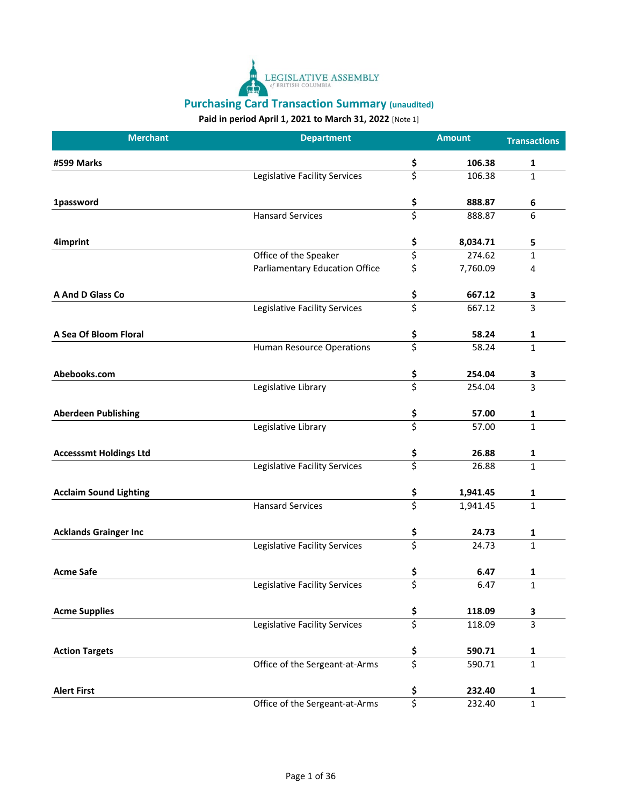

| <b>Merchant</b>               | <b>Department</b>                | <b>Amount</b>  | <b>Transactions</b> |
|-------------------------------|----------------------------------|----------------|---------------------|
| #599 Marks                    |                                  | \$<br>106.38   | 1                   |
|                               | Legislative Facility Services    | \$<br>106.38   | $\mathbf{1}$        |
| 1password                     |                                  | \$<br>888.87   | 6                   |
|                               | <b>Hansard Services</b>          | \$<br>888.87   | 6                   |
| 4imprint                      |                                  | \$<br>8,034.71 | 5                   |
|                               | Office of the Speaker            | \$<br>274.62   | $\mathbf{1}$        |
|                               | Parliamentary Education Office   | \$<br>7,760.09 | 4                   |
| A And D Glass Co              |                                  | \$<br>667.12   | 3                   |
|                               | Legislative Facility Services    | \$<br>667.12   | 3                   |
| A Sea Of Bloom Floral         |                                  | \$<br>58.24    | 1                   |
|                               | <b>Human Resource Operations</b> | \$<br>58.24    | $\mathbf{1}$        |
| Abebooks.com                  |                                  | \$<br>254.04   | 3                   |
|                               | Legislative Library              | \$<br>254.04   | 3                   |
| <b>Aberdeen Publishing</b>    |                                  | \$<br>57.00    | 1                   |
|                               | Legislative Library              | \$<br>57.00    | $\mathbf{1}$        |
| <b>Accesssmt Holdings Ltd</b> |                                  | \$<br>26.88    | $\mathbf{1}$        |
|                               | Legislative Facility Services    | \$<br>26.88    | $\mathbf{1}$        |
| <b>Acclaim Sound Lighting</b> |                                  | \$<br>1,941.45 | 1                   |
|                               | <b>Hansard Services</b>          | \$<br>1,941.45 | $\mathbf 1$         |
| <b>Acklands Grainger Inc</b>  |                                  | \$<br>24.73    | 1                   |
|                               | Legislative Facility Services    | \$<br>24.73    | $\mathbf{1}$        |
| <b>Acme Safe</b>              |                                  | \$<br>6.47     | 1                   |
|                               | Legislative Facility Services    | \$<br>6.47     | 1                   |
| <b>Acme Supplies</b>          |                                  | \$<br>118.09   | 3                   |
|                               | Legislative Facility Services    | \$<br>118.09   | 3                   |
| <b>Action Targets</b>         |                                  | \$<br>590.71   | $\mathbf 1$         |
|                               | Office of the Sergeant-at-Arms   | \$<br>590.71   | $\mathbf 1$         |
| <b>Alert First</b>            |                                  | \$<br>232.40   | $\mathbf 1$         |
|                               | Office of the Sergeant-at-Arms   | \$<br>232.40   | $\mathbf{1}$        |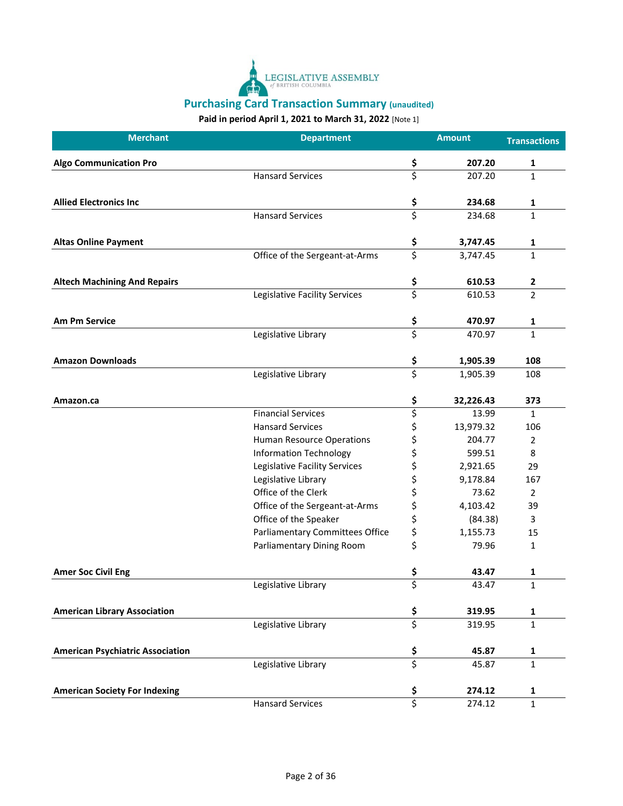

| <b>Merchant</b>                         | <b>Department</b>                      |                         | <b>Amount</b> | <b>Transactions</b> |
|-----------------------------------------|----------------------------------------|-------------------------|---------------|---------------------|
| <b>Algo Communication Pro</b>           |                                        | \$                      | 207.20        | 1                   |
|                                         | <b>Hansard Services</b>                | \$                      | 207.20        | $\mathbf{1}$        |
| <b>Allied Electronics Inc</b>           |                                        | \$                      | 234.68        | 1                   |
|                                         | <b>Hansard Services</b>                | \$                      | 234.68        | $\mathbf{1}$        |
| <b>Altas Online Payment</b>             |                                        | \$                      | 3,747.45      | 1                   |
|                                         | Office of the Sergeant-at-Arms         | \$                      | 3,747.45      | $\mathbf{1}$        |
| <b>Altech Machining And Repairs</b>     |                                        | \$                      | 610.53        | $\overline{2}$      |
|                                         | Legislative Facility Services          | \$                      | 610.53        | $\overline{2}$      |
| <b>Am Pm Service</b>                    |                                        | \$                      | 470.97        | 1                   |
|                                         | Legislative Library                    | \$                      | 470.97        | $\mathbf{1}$        |
| <b>Amazon Downloads</b>                 |                                        | \$                      | 1,905.39      | 108                 |
|                                         | Legislative Library                    | \$                      | 1,905.39      | 108                 |
| Amazon.ca                               |                                        | \$                      | 32,226.43     | 373                 |
|                                         | <b>Financial Services</b>              | \$                      | 13.99         | $\mathbf{1}$        |
|                                         | <b>Hansard Services</b>                | \$                      | 13,979.32     | 106                 |
|                                         | Human Resource Operations              | \$                      | 204.77        | $\overline{2}$      |
|                                         | <b>Information Technology</b>          | \$                      | 599.51        | 8                   |
|                                         | Legislative Facility Services          | \$                      | 2,921.65      | 29                  |
|                                         | Legislative Library                    | \$                      | 9,178.84      | 167                 |
|                                         | Office of the Clerk                    | \$                      | 73.62         | 2                   |
|                                         | Office of the Sergeant-at-Arms         | \$                      | 4,103.42      | 39                  |
|                                         | Office of the Speaker                  | \$                      | (84.38)       | 3                   |
|                                         | <b>Parliamentary Committees Office</b> | \$                      | 1,155.73      | 15                  |
|                                         | Parliamentary Dining Room              | \$                      | 79.96         | $\mathbf{1}$        |
| <b>Amer Soc Civil Eng</b>               |                                        | \$                      | 43.47         | 1                   |
|                                         | Legislative Library                    | Ś                       | 43.47         | $\mathbf{1}$        |
| <b>American Library Association</b>     |                                        | \$                      | 319.95        | 1                   |
|                                         | Legislative Library                    | \$                      | 319.95        | $\mathbf{1}$        |
| <b>American Psychiatric Association</b> |                                        | $rac{5}{5}$             | 45.87         | 1                   |
|                                         | Legislative Library                    |                         | 45.87         | $\mathbf{1}$        |
| <b>American Society For Indexing</b>    |                                        | \$                      | 274.12        | $\mathbf{1}$        |
|                                         | <b>Hansard Services</b>                | $\overline{\mathsf{S}}$ | 274.12        | $\mathbf{1}$        |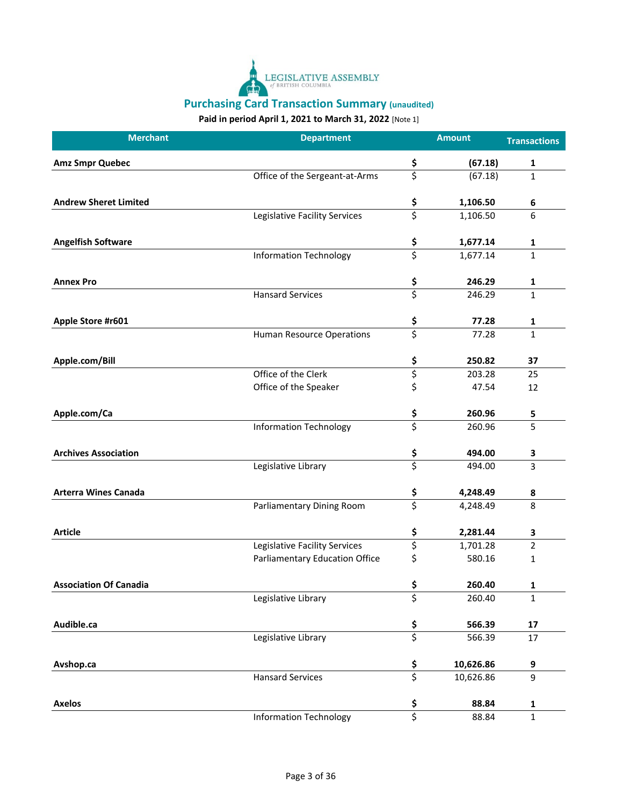

| <b>Merchant</b>               | <b>Department</b>                |                                 | <b>Amount</b> | <b>Transactions</b> |
|-------------------------------|----------------------------------|---------------------------------|---------------|---------------------|
| <b>Amz Smpr Quebec</b>        |                                  | \$                              | (67.18)       | 1                   |
|                               | Office of the Sergeant-at-Arms   | \$                              | (67.18)       | 1                   |
| <b>Andrew Sheret Limited</b>  |                                  | \$                              | 1,106.50      | 6                   |
|                               | Legislative Facility Services    | \$                              | 1,106.50      | 6                   |
| <b>Angelfish Software</b>     |                                  |                                 | 1,677.14      | 1                   |
|                               | <b>Information Technology</b>    | $rac{5}{5}$                     | 1,677.14      | $\mathbf{1}$        |
| <b>Annex Pro</b>              |                                  | \$                              | 246.29        | 1                   |
|                               | <b>Hansard Services</b>          | \$                              | 246.29        | 1                   |
| Apple Store #r601             |                                  | \$                              | 77.28         | 1                   |
|                               | <b>Human Resource Operations</b> | \$                              | 77.28         | 1                   |
| Apple.com/Bill                |                                  | \$                              | 250.82        | 37                  |
|                               | Office of the Clerk              | \$                              | 203.28        | 25                  |
|                               | Office of the Speaker            | \$                              | 47.54         | 12                  |
| Apple.com/Ca                  |                                  | \$<br>\$                        | 260.96        | 5                   |
|                               | <b>Information Technology</b>    |                                 | 260.96        | 5                   |
| <b>Archives Association</b>   |                                  | $rac{5}{5}$                     | 494.00        | 3                   |
|                               | Legislative Library              |                                 | 494.00        | 3                   |
| <b>Arterra Wines Canada</b>   |                                  | \$                              | 4,248.49      | 8                   |
|                               | Parliamentary Dining Room        | \$                              | 4,248.49      | 8                   |
| <b>Article</b>                |                                  | \$                              | 2,281.44      | 3                   |
|                               | Legislative Facility Services    | $\overline{\mathcal{L}}$        | 1,701.28      | $\overline{2}$      |
|                               | Parliamentary Education Office   | \$                              | 580.16        | 1                   |
| <b>Association Of Canadia</b> |                                  | Ś                               | 260.40        | 1                   |
|                               | Legislative Library              | \$                              | 260.40        | $\mathbf{1}$        |
| Audible.ca                    |                                  | \$                              | 566.39        | 17                  |
|                               | Legislative Library              | $\overline{\boldsymbol{\zeta}}$ | 566.39        | $17\,$              |
| Avshop.ca                     |                                  | $rac{5}{5}$                     | 10,626.86     | 9                   |
|                               | <b>Hansard Services</b>          |                                 | 10,626.86     | 9                   |
| <b>Axelos</b>                 |                                  | \$                              | 88.84         | 1                   |
|                               | <b>Information Technology</b>    | \$                              | 88.84         | 1                   |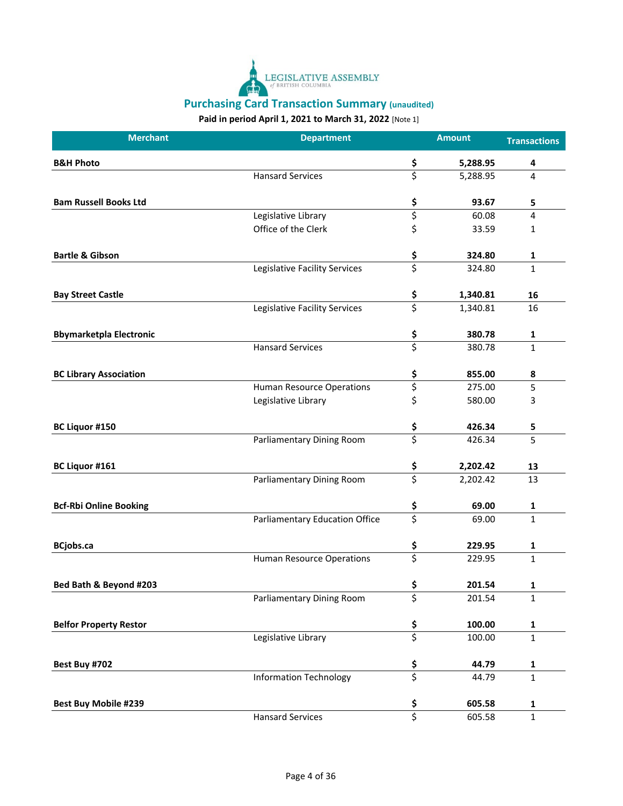

| <b>Merchant</b>                | <b>Department</b>                     |                         | <b>Amount</b> | <b>Transactions</b> |
|--------------------------------|---------------------------------------|-------------------------|---------------|---------------------|
| <b>B&amp;H Photo</b>           |                                       | \$                      | 5,288.95      | 4                   |
|                                | <b>Hansard Services</b>               | \$                      | 5,288.95      | 4                   |
| <b>Bam Russell Books Ltd</b>   |                                       | \$                      | 93.67         | 5                   |
|                                | Legislative Library                   | \$                      | 60.08         | 4                   |
|                                | Office of the Clerk                   | \$                      | 33.59         | $\mathbf{1}$        |
| <b>Bartle &amp; Gibson</b>     |                                       | <u>\$</u>               | 324.80        | $\mathbf{1}$        |
|                                | Legislative Facility Services         | $\overline{\mathsf{S}}$ | 324.80        | $\mathbf{1}$        |
| <b>Bay Street Castle</b>       |                                       | \$                      | 1,340.81      | 16                  |
|                                | Legislative Facility Services         | \$                      | 1,340.81      | 16                  |
| <b>Bbymarketpla Electronic</b> |                                       | \$                      | 380.78        | 1                   |
|                                | <b>Hansard Services</b>               | \$                      | 380.78        | $\mathbf{1}$        |
| <b>BC Library Association</b>  |                                       | \$                      | 855.00        | 8                   |
|                                | <b>Human Resource Operations</b>      | \$                      | 275.00        | 5                   |
|                                | Legislative Library                   | \$                      | 580.00        | 3                   |
| BC Liquor #150                 |                                       | \$                      | 426.34        | 5                   |
|                                | Parliamentary Dining Room             | \$                      | 426.34        | 5                   |
| BC Liquor #161                 |                                       | \$                      | 2,202.42      | 13                  |
|                                | Parliamentary Dining Room             | \$                      | 2,202.42      | 13                  |
| <b>Bcf-Rbi Online Booking</b>  |                                       | \$                      | 69.00         | 1                   |
|                                | <b>Parliamentary Education Office</b> | \$                      | 69.00         | $\mathbf{1}$        |
| <b>BCjobs.ca</b>               |                                       | \$                      | 229.95        | 1                   |
|                                | Human Resource Operations             | \$                      | 229.95        | $\mathbf{1}$        |
| Bed Bath & Beyond #203         |                                       | \$                      | 201.54        | 1                   |
|                                | Parliamentary Dining Room             | \$                      | 201.54        | $\mathbf 1$         |
| <b>Belfor Property Restor</b>  |                                       | \$                      | 100.00        | $\mathbf{1}$        |
|                                | Legislative Library                   | \$                      | 100.00        | $\mathbf 1$         |
| Best Buy #702                  |                                       |                         | 44.79         | $\mathbf{1}$        |
|                                | <b>Information Technology</b>         | $rac{5}{5}$             | 44.79         | $\mathbf{1}$        |
| <b>Best Buy Mobile #239</b>    |                                       | \$                      | 605.58        | $\mathbf 1$         |
|                                | <b>Hansard Services</b>               | $\overline{\mathsf{S}}$ | 605.58        | $\mathbf 1$         |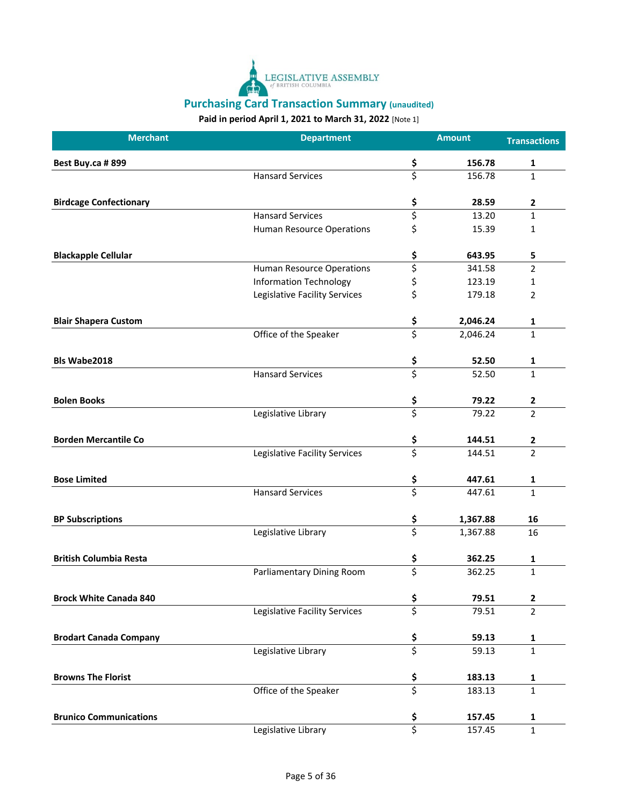

| <b>Merchant</b>               | <b>Department</b>                |                         | <b>Amount</b> | <b>Transactions</b> |
|-------------------------------|----------------------------------|-------------------------|---------------|---------------------|
| Best Buy.ca #899              |                                  | \$                      | 156.78        | 1                   |
|                               | <b>Hansard Services</b>          | \$                      | 156.78        | $\mathbf{1}$        |
| <b>Birdcage Confectionary</b> |                                  | \$                      | 28.59         | $\overline{2}$      |
|                               | <b>Hansard Services</b>          | \$                      | 13.20         | $\mathbf{1}$        |
|                               | Human Resource Operations        | \$                      | 15.39         | $\mathbf{1}$        |
| <b>Blackapple Cellular</b>    |                                  | \$                      | 643.95        | 5                   |
|                               | <b>Human Resource Operations</b> | \$                      | 341.58        | $\overline{2}$      |
|                               | <b>Information Technology</b>    | \$                      | 123.19        | $\mathbf{1}$        |
|                               | Legislative Facility Services    | \$                      | 179.18        | 2                   |
| <b>Blair Shapera Custom</b>   |                                  | \$                      | 2,046.24      | 1                   |
|                               | Office of the Speaker            | \$                      | 2,046.24      | $\mathbf{1}$        |
| Bls Wabe2018                  |                                  | \$                      | 52.50         | 1                   |
|                               | <b>Hansard Services</b>          | \$                      | 52.50         | $\mathbf{1}$        |
| <b>Bolen Books</b>            |                                  | $rac{5}{5}$             | 79.22         | $\overline{2}$      |
|                               | Legislative Library              |                         | 79.22         | $\overline{2}$      |
| <b>Borden Mercantile Co</b>   |                                  | \$                      | 144.51        | $\overline{2}$      |
|                               | Legislative Facility Services    | $\overline{\mathsf{S}}$ | 144.51        | $\overline{2}$      |
| <b>Bose Limited</b>           |                                  | \$                      | 447.61        | 1                   |
|                               | <b>Hansard Services</b>          | \$                      | 447.61        | $\mathbf{1}$        |
| <b>BP Subscriptions</b>       |                                  | \$                      | 1,367.88      | 16                  |
|                               | Legislative Library              | \$                      | 1,367.88      | 16                  |
| <b>British Columbia Resta</b> |                                  | \$                      | 362.25        | 1                   |
|                               | Parliamentary Dining Room        | \$                      | 362.25        | $\mathbf{1}$        |
| <b>Brock White Canada 840</b> |                                  | \$                      | 79.51         | $\overline{2}$      |
|                               | Legislative Facility Services    | \$                      | 79.51         | $\overline{2}$      |
| <b>Brodart Canada Company</b> |                                  | $rac{5}{5}$             | 59.13         | $\mathbf{1}$        |
|                               | Legislative Library              |                         | 59.13         | $\mathbf{1}$        |
| <b>Browns The Florist</b>     |                                  | \$                      | 183.13        | $\mathbf{1}$        |
|                               | Office of the Speaker            | \$                      | 183.13        | $\mathbf{1}$        |
| <b>Brunico Communications</b> |                                  | \$                      | 157.45        | $\mathbf 1$         |
|                               | Legislative Library              | \$                      | 157.45        | $\mathbf{1}$        |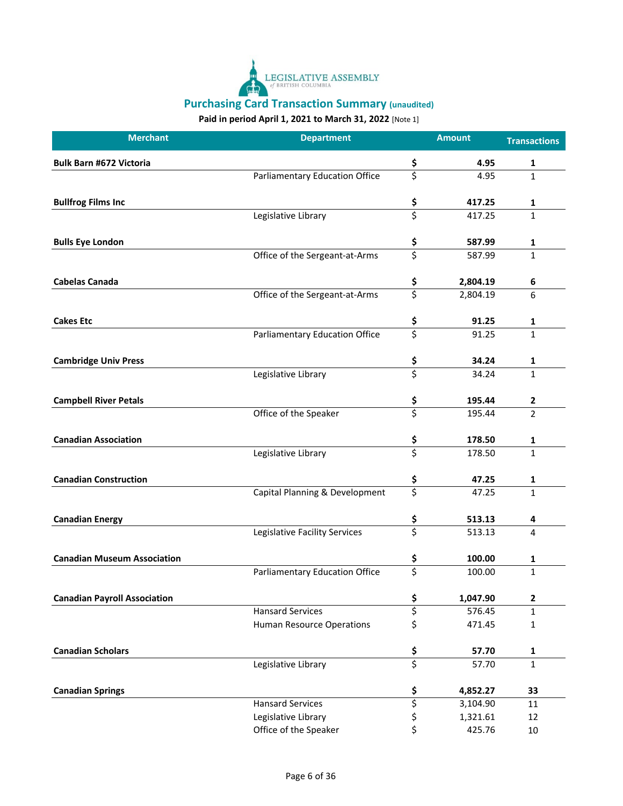

| <b>Merchant</b>                     | <b>Department</b>                     |                                 | <b>Amount</b> | <b>Transactions</b> |
|-------------------------------------|---------------------------------------|---------------------------------|---------------|---------------------|
| <b>Bulk Barn #672 Victoria</b>      |                                       | \$                              | 4.95          | 1                   |
|                                     | Parliamentary Education Office        | \$                              | 4.95          | $\mathbf{1}$        |
| <b>Bullfrog Films Inc</b>           |                                       | \$                              | 417.25        | 1                   |
|                                     | Legislative Library                   | \$                              | 417.25        | $\mathbf{1}$        |
| <b>Bulls Eye London</b>             |                                       | \$                              | 587.99        | 1                   |
|                                     | Office of the Sergeant-at-Arms        | \$                              | 587.99        | $\mathbf{1}$        |
| <b>Cabelas Canada</b>               |                                       | $rac{5}{5}$                     | 2,804.19      | 6                   |
|                                     | Office of the Sergeant-at-Arms        |                                 | 2,804.19      | 6                   |
| <b>Cakes Etc</b>                    |                                       | \$                              | 91.25         | 1                   |
|                                     | <b>Parliamentary Education Office</b> | \$                              | 91.25         | 1                   |
| <b>Cambridge Univ Press</b>         |                                       | \$                              | 34.24         | 1                   |
|                                     | Legislative Library                   | \$                              | 34.24         | $\mathbf{1}$        |
| <b>Campbell River Petals</b>        |                                       | \$                              | 195.44        | 2                   |
|                                     | Office of the Speaker                 | $\overline{\boldsymbol{\zeta}}$ | 195.44        | $\overline{2}$      |
| <b>Canadian Association</b>         |                                       | \$                              | 178.50        | 1                   |
|                                     | Legislative Library                   | $\overline{\mathsf{S}}$         | 178.50        | $\mathbf{1}$        |
| <b>Canadian Construction</b>        |                                       | \$                              | 47.25         | 1                   |
|                                     | Capital Planning & Development        | \$                              | 47.25         | $\mathbf{1}$        |
| <b>Canadian Energy</b>              |                                       | \$                              | 513.13        | 4                   |
|                                     | Legislative Facility Services         | \$                              | 513.13        | 4                   |
| <b>Canadian Museum Association</b>  |                                       | \$                              | 100.00        | $\mathbf{1}$        |
|                                     | Parliamentary Education Office        | \$                              | 100.00        | $\mathbf{1}$        |
| <b>Canadian Payroll Association</b> |                                       | \$                              | 1,047.90      | $\mathbf{2}$        |
|                                     | <b>Hansard Services</b>               | $\overline{\mathcal{L}}$        | 576.45        | $\mathbf{1}$        |
|                                     | <b>Human Resource Operations</b>      | \$                              | 471.45        | $\mathbf 1$         |
| <b>Canadian Scholars</b>            |                                       | \$                              | 57.70         | $\mathbf 1$         |
|                                     | Legislative Library                   | $\overline{\boldsymbol{\zeta}}$ | 57.70         | $\mathbf{1}$        |
| <b>Canadian Springs</b>             |                                       | \$                              | 4,852.27      | 33                  |
|                                     | <b>Hansard Services</b>               | \$                              | 3,104.90      | 11                  |
|                                     | Legislative Library                   | \$                              | 1,321.61      | 12                  |
|                                     | Office of the Speaker                 | \$                              | 425.76        | $10\,$              |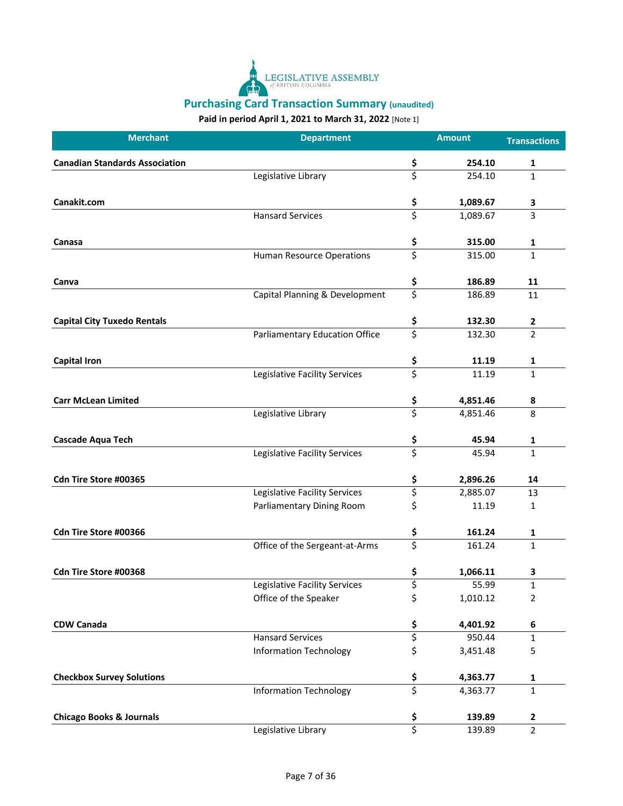

| <b>Merchant</b>                       | <b>Department</b>                     |                                 | <b>Amount</b> | <b>Transactions</b> |
|---------------------------------------|---------------------------------------|---------------------------------|---------------|---------------------|
| <b>Canadian Standards Association</b> |                                       | \$                              | 254.10        | 1                   |
|                                       | Legislative Library                   | \$                              | 254.10        | 1                   |
| Canakit.com                           |                                       | \$                              | 1,089.67      | 3                   |
|                                       | <b>Hansard Services</b>               | \$                              | 1,089.67      | 3                   |
| Canasa                                |                                       | \$<br>\$                        | 315.00        | 1                   |
|                                       | Human Resource Operations             |                                 | 315.00        | $\mathbf{1}$        |
| Canva                                 |                                       | \$                              | 186.89        | 11                  |
|                                       | Capital Planning & Development        | $\overline{\boldsymbol{\zeta}}$ | 186.89        | 11                  |
| <b>Capital City Tuxedo Rentals</b>    |                                       | \$                              | 132.30        | 2                   |
|                                       | <b>Parliamentary Education Office</b> | \$                              | 132.30        | 2                   |
| <b>Capital Iron</b>                   |                                       | \$                              | 11.19         | 1                   |
|                                       | Legislative Facility Services         | \$                              | 11.19         | 1                   |
| <b>Carr McLean Limited</b>            |                                       | $rac{5}{5}$                     | 4,851.46      | 8                   |
|                                       | Legislative Library                   |                                 | 4,851.46      | 8                   |
| <b>Cascade Aqua Tech</b>              |                                       | \$                              | 45.94         | 1                   |
|                                       | Legislative Facility Services         | \$                              | 45.94         | $\mathbf{1}$        |
| Cdn Tire Store #00365                 |                                       | \$                              | 2,896.26      | 14                  |
|                                       | Legislative Facility Services         | \$                              | 2,885.07      | 13                  |
|                                       | Parliamentary Dining Room             | \$                              | 11.19         | 1                   |
| Cdn Tire Store #00366                 |                                       | \$                              | 161.24        | 1                   |
|                                       | Office of the Sergeant-at-Arms        | \$                              | 161.24        | $\mathbf{1}$        |
| Cdn Tire Store #00368                 |                                       | \$                              | 1,066.11      | 3                   |
|                                       | Legislative Facility Services         | ς                               | 55.99         | 1                   |
|                                       | Office of the Speaker                 | \$                              | 1,010.12      | 2                   |
| <b>CDW Canada</b>                     |                                       | \$                              | 4,401.92      | 6                   |
|                                       | <b>Hansard Services</b>               | $\overline{\mathcal{L}}$        | 950.44        | 1                   |
|                                       | <b>Information Technology</b>         | \$                              | 3,451.48      | 5                   |
| <b>Checkbox Survey Solutions</b>      |                                       | \$                              | 4,363.77      | 1                   |
|                                       | <b>Information Technology</b>         | $\overline{\xi}$                | 4,363.77      | $\mathbf{1}$        |
| <b>Chicago Books &amp; Journals</b>   |                                       | \$                              | 139.89        | 2                   |
|                                       | Legislative Library                   | $\overline{\xi}$                | 139.89        | $\overline{2}$      |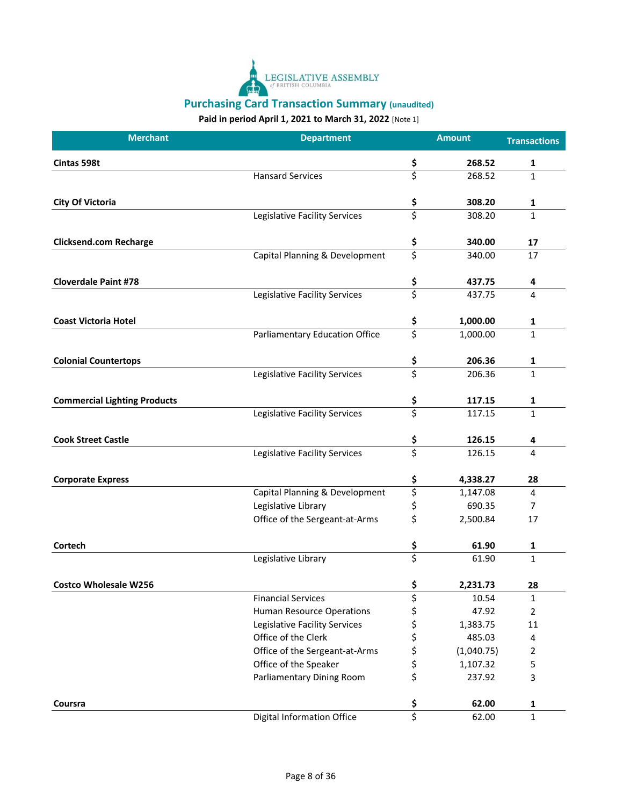

| <b>Merchant</b>                     | <b>Department</b>                     |                                 | <b>Amount</b> | <b>Transactions</b> |
|-------------------------------------|---------------------------------------|---------------------------------|---------------|---------------------|
| Cintas 598t                         |                                       | \$                              | 268.52        | 1                   |
|                                     | <b>Hansard Services</b>               | \$                              | 268.52        | 1                   |
| <b>City Of Victoria</b>             |                                       | \$                              | 308.20        | 1                   |
|                                     | Legislative Facility Services         | \$                              | 308.20        | 1                   |
| <b>Clicksend.com Recharge</b>       |                                       | \$                              | 340.00        | 17                  |
|                                     | Capital Planning & Development        | \$                              | 340.00        | 17                  |
| <b>Cloverdale Paint #78</b>         |                                       | \$                              | 437.75        | 4                   |
|                                     | Legislative Facility Services         | \$                              | 437.75        | 4                   |
| <b>Coast Victoria Hotel</b>         |                                       | \$                              | 1,000.00      | 1                   |
|                                     | <b>Parliamentary Education Office</b> | \$                              | 1,000.00      | 1                   |
| <b>Colonial Countertops</b>         |                                       | \$                              | 206.36        | 1                   |
|                                     | Legislative Facility Services         | \$                              | 206.36        | 1                   |
| <b>Commercial Lighting Products</b> |                                       | \$                              | 117.15        | 1                   |
|                                     | Legislative Facility Services         | $\overline{\boldsymbol{\zeta}}$ | 117.15        | $\mathbf{1}$        |
| <b>Cook Street Castle</b>           |                                       | \$                              | 126.15        | 4                   |
|                                     | Legislative Facility Services         | \$                              | 126.15        | 4                   |
| <b>Corporate Express</b>            |                                       | \$                              | 4,338.27      | 28                  |
|                                     | Capital Planning & Development        | \$                              | 1,147.08      | 4                   |
|                                     | Legislative Library                   | \$                              | 690.35        | 7                   |
|                                     | Office of the Sergeant-at-Arms        | \$                              | 2,500.84      | 17                  |
| Cortech                             |                                       | \$                              | 61.90         | 1                   |
|                                     | Legislative Library                   | $\overline{\boldsymbol{\zeta}}$ | 61.90         | 1                   |
| Costco Wholesale W256               |                                       | Ś                               | 2.231.73      | 28                  |
|                                     | <b>Financial Services</b>             | \$                              | 10.54         | 1                   |
|                                     | <b>Human Resource Operations</b>      | \$                              | 47.92         | 2                   |
|                                     | Legislative Facility Services         | \$                              | 1,383.75      | 11                  |
|                                     | Office of the Clerk                   | \$                              | 485.03        | 4                   |
|                                     | Office of the Sergeant-at-Arms        | \$                              | (1,040.75)    | 2                   |
|                                     | Office of the Speaker                 | \$                              | 1,107.32      | 5                   |
|                                     | Parliamentary Dining Room             | \$                              | 237.92        | 3                   |
| Coursra                             |                                       | \$                              | 62.00         | 1                   |
|                                     | Digital Information Office            | \$                              | 62.00         | 1                   |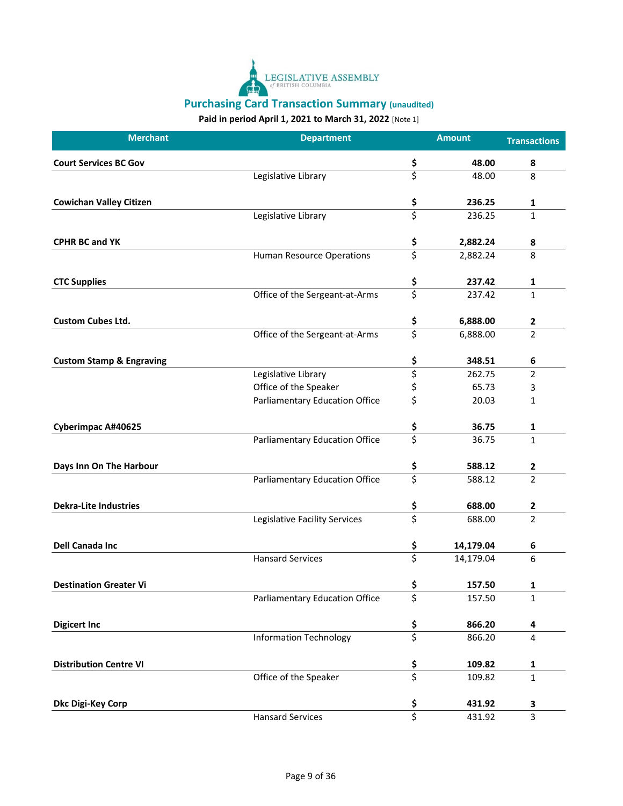

| <b>Merchant</b>                     | <b>Department</b>              |                                 | <b>Amount</b> | <b>Transactions</b> |
|-------------------------------------|--------------------------------|---------------------------------|---------------|---------------------|
| <b>Court Services BC Gov</b>        |                                | \$                              | 48.00         | 8                   |
|                                     | Legislative Library            | \$                              | 48.00         | 8                   |
| <b>Cowichan Valley Citizen</b>      |                                | \$                              | 236.25        | 1                   |
|                                     | Legislative Library            | \$                              | 236.25        | 1                   |
| <b>CPHR BC and YK</b>               |                                | \$                              | 2,882.24      | 8                   |
|                                     | Human Resource Operations      | $\overline{\boldsymbol{\zeta}}$ | 2,882.24      | 8                   |
| <b>CTC Supplies</b>                 |                                | \$                              | 237.42        | 1                   |
|                                     | Office of the Sergeant-at-Arms | \$                              | 237.42        | 1                   |
| <b>Custom Cubes Ltd.</b>            |                                | \$                              | 6,888.00      | 2                   |
|                                     | Office of the Sergeant-at-Arms | \$                              | 6,888.00      | $\overline{2}$      |
| <b>Custom Stamp &amp; Engraving</b> |                                | \$                              | 348.51        | 6                   |
|                                     | Legislative Library            | \$                              | 262.75        | $\overline{2}$      |
|                                     | Office of the Speaker          | \$                              | 65.73         | 3                   |
|                                     | Parliamentary Education Office | \$                              | 20.03         | 1                   |
| <b>Cyberimpac A#40625</b>           |                                | \$                              | 36.75         | 1                   |
|                                     | Parliamentary Education Office | \$                              | 36.75         | $\mathbf{1}$        |
| Days Inn On The Harbour             |                                | \$                              | 588.12        | 2                   |
|                                     | Parliamentary Education Office | \$                              | 588.12        | 2                   |
| <b>Dekra-Lite Industries</b>        |                                | \$                              | 688.00        | 2                   |
|                                     | Legislative Facility Services  | \$                              | 688.00        | 2                   |
| <b>Dell Canada Inc</b>              |                                | \$                              | 14,179.04     | 6                   |
|                                     | <b>Hansard Services</b>        | \$                              | 14,179.04     | 6                   |
| <b>Destination Greater Vi</b>       |                                | Ś                               | 157.50        |                     |
|                                     | Parliamentary Education Office | \$                              | 157.50        | $\mathbf{1}$        |
| <b>Digicert Inc</b>                 |                                | \$                              | 866.20        | 4                   |
|                                     | <b>Information Technology</b>  | \$                              | 866.20        | 4                   |
| <b>Distribution Centre VI</b>       |                                | $rac{5}{5}$                     | 109.82        | 1                   |
|                                     | Office of the Speaker          |                                 | 109.82        | 1                   |
| Dkc Digi-Key Corp                   |                                | \$                              | 431.92        | 3                   |
|                                     | <b>Hansard Services</b>        | \$                              | 431.92        | 3                   |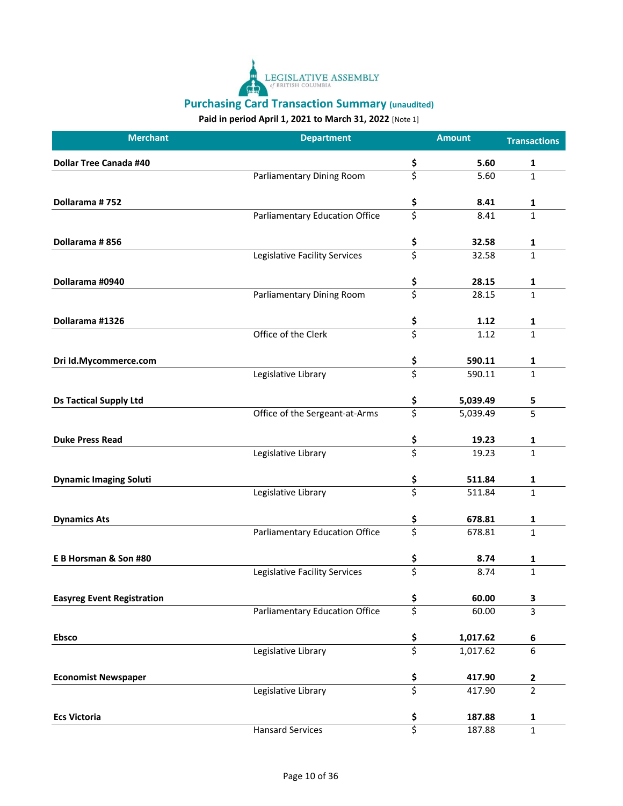

| <b>Merchant</b>                   | <b>Department</b>                     |                                 | <b>Amount</b> | <b>Transactions</b> |
|-----------------------------------|---------------------------------------|---------------------------------|---------------|---------------------|
| <b>Dollar Tree Canada #40</b>     |                                       | \$                              | 5.60          | 1                   |
|                                   | Parliamentary Dining Room             | \$                              | 5.60          | 1                   |
| Dollarama #752                    |                                       | \$                              | 8.41          | 1                   |
|                                   | Parliamentary Education Office        | \$                              | 8.41          | 1                   |
| Dollarama #856                    |                                       | \$<br>\$                        | 32.58         | 1                   |
|                                   | Legislative Facility Services         |                                 | 32.58         | $\mathbf{1}$        |
| Dollarama #0940                   |                                       |                                 | 28.15         | 1                   |
|                                   | Parliamentary Dining Room             | $rac{5}{5}$                     | 28.15         | 1                   |
| Dollarama #1326                   |                                       | \$                              | 1.12          | 1                   |
|                                   | Office of the Clerk                   | \$                              | 1.12          | $\mathbf{1}$        |
| Dri Id.Mycommerce.com             |                                       | \$                              | 590.11        | 1                   |
|                                   | Legislative Library                   | $\overline{\mathsf{S}}$         | 590.11        | 1                   |
| <b>Ds Tactical Supply Ltd</b>     |                                       | \$                              | 5,039.49      | 5                   |
|                                   | Office of the Sergeant-at-Arms        | \$                              | 5,039.49      | 5                   |
| <b>Duke Press Read</b>            |                                       | \$                              | 19.23         | 1                   |
|                                   | Legislative Library                   | \$                              | 19.23         | 1                   |
| <b>Dynamic Imaging Soluti</b>     |                                       | \$                              | 511.84        | 1                   |
|                                   | Legislative Library                   | \$                              | 511.84        | $\mathbf{1}$        |
| <b>Dynamics Ats</b>               |                                       | \$                              | 678.81        | 1                   |
|                                   | <b>Parliamentary Education Office</b> | \$                              | 678.81        | $\mathbf{1}$        |
| E B Horsman & Son #80             |                                       | \$                              | 8.74          | 1                   |
|                                   | Legislative Facility Services         | $\overline{\boldsymbol{\zeta}}$ | 8.74          | 1                   |
| <b>Easyreg Event Registration</b> |                                       | \$                              | 60.00         | 3                   |
|                                   | Parliamentary Education Office        | \$                              | 60.00         | 3                   |
| <b>Ebsco</b>                      |                                       |                                 | 1,017.62      | 6                   |
|                                   | Legislative Library                   | $\frac{5}{5}$                   | 1,017.62      | 6                   |
| <b>Economist Newspaper</b>        |                                       | \$                              | 417.90        | 2                   |
|                                   | Legislative Library                   | $\overline{\xi}$                | 417.90        | $\overline{2}$      |
| <b>Ecs Victoria</b>               |                                       | \$                              | 187.88        | 1                   |
|                                   | <b>Hansard Services</b>               | \$                              | 187.88        | 1                   |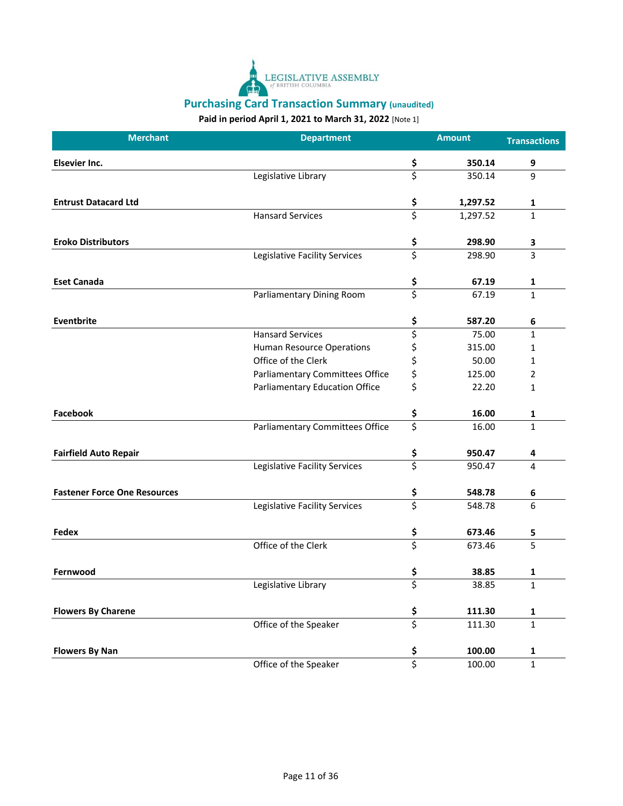

| Elsevier Inc.<br>350.14<br>\$<br>9<br>\$<br>Legislative Library<br>350.14<br>9<br>\$<br><b>Entrust Datacard Ltd</b><br>1,297.52<br>1<br>\$<br>1,297.52<br><b>Hansard Services</b><br>$\mathbf{1}$<br><b>Eroko Distributors</b><br>298.90<br>\$<br>\$<br>3<br>Legislative Facility Services<br>298.90<br>3<br>\$<br><b>Eset Canada</b><br>67.19<br>1<br>$\overline{\boldsymbol{\zeta}}$<br>Parliamentary Dining Room<br>67.19<br>$\mathbf{1}$<br>\$<br><b>Eventbrite</b><br>587.20<br>6<br>\$<br><b>Hansard Services</b><br>75.00<br>$\mathbf{1}$<br>\$<br>Human Resource Operations<br>315.00<br>1<br>\$<br>Office of the Clerk<br>50.00<br>1<br>\$<br>Parliamentary Committees Office<br>125.00<br>2<br>\$<br>Parliamentary Education Office<br>22.20<br>$\mathbf{1}$<br><b>Facebook</b><br>\$<br>16.00<br>1<br>\$<br><b>Parliamentary Committees Office</b><br>16.00<br>$\mathbf{1}$<br>\$<br><b>Fairfield Auto Repair</b><br>950.47<br>4<br>\$<br>Legislative Facility Services<br>950.47<br>4<br>548.78<br><b>Fastener Force One Resources</b><br>\$<br>6<br>\$<br>Legislative Facility Services<br>548.78<br>6<br>\$<br>673.46<br><b>Fedex</b><br>5<br>\$<br>Office of the Clerk<br>5<br>673.46<br>\$<br>38.85<br>Fernwood<br>1<br>ς<br>Legislative Library<br>38.85<br>1<br>111.30<br><b>Flowers By Charene</b><br>\$<br>$\mathbf 1$<br>$\overline{\boldsymbol{\zeta}}$<br>Office of the Speaker<br>111.30<br>$\mathbf{1}$<br>$\frac{5}{5}$<br>100.00<br><b>Flowers By Nan</b><br>$\mathbf{1}$ | <b>Merchant</b> | <b>Department</b>     | <b>Amount</b> | <b>Transactions</b> |
|------------------------------------------------------------------------------------------------------------------------------------------------------------------------------------------------------------------------------------------------------------------------------------------------------------------------------------------------------------------------------------------------------------------------------------------------------------------------------------------------------------------------------------------------------------------------------------------------------------------------------------------------------------------------------------------------------------------------------------------------------------------------------------------------------------------------------------------------------------------------------------------------------------------------------------------------------------------------------------------------------------------------------------------------------------------------------------------------------------------------------------------------------------------------------------------------------------------------------------------------------------------------------------------------------------------------------------------------------------------------------------------------------------------------------------------------------------------------------------------------------|-----------------|-----------------------|---------------|---------------------|
|                                                                                                                                                                                                                                                                                                                                                                                                                                                                                                                                                                                                                                                                                                                                                                                                                                                                                                                                                                                                                                                                                                                                                                                                                                                                                                                                                                                                                                                                                                      |                 |                       |               |                     |
|                                                                                                                                                                                                                                                                                                                                                                                                                                                                                                                                                                                                                                                                                                                                                                                                                                                                                                                                                                                                                                                                                                                                                                                                                                                                                                                                                                                                                                                                                                      |                 |                       |               |                     |
|                                                                                                                                                                                                                                                                                                                                                                                                                                                                                                                                                                                                                                                                                                                                                                                                                                                                                                                                                                                                                                                                                                                                                                                                                                                                                                                                                                                                                                                                                                      |                 |                       |               |                     |
|                                                                                                                                                                                                                                                                                                                                                                                                                                                                                                                                                                                                                                                                                                                                                                                                                                                                                                                                                                                                                                                                                                                                                                                                                                                                                                                                                                                                                                                                                                      |                 |                       |               |                     |
|                                                                                                                                                                                                                                                                                                                                                                                                                                                                                                                                                                                                                                                                                                                                                                                                                                                                                                                                                                                                                                                                                                                                                                                                                                                                                                                                                                                                                                                                                                      |                 |                       |               |                     |
|                                                                                                                                                                                                                                                                                                                                                                                                                                                                                                                                                                                                                                                                                                                                                                                                                                                                                                                                                                                                                                                                                                                                                                                                                                                                                                                                                                                                                                                                                                      |                 |                       |               |                     |
|                                                                                                                                                                                                                                                                                                                                                                                                                                                                                                                                                                                                                                                                                                                                                                                                                                                                                                                                                                                                                                                                                                                                                                                                                                                                                                                                                                                                                                                                                                      |                 |                       |               |                     |
|                                                                                                                                                                                                                                                                                                                                                                                                                                                                                                                                                                                                                                                                                                                                                                                                                                                                                                                                                                                                                                                                                                                                                                                                                                                                                                                                                                                                                                                                                                      |                 |                       |               |                     |
|                                                                                                                                                                                                                                                                                                                                                                                                                                                                                                                                                                                                                                                                                                                                                                                                                                                                                                                                                                                                                                                                                                                                                                                                                                                                                                                                                                                                                                                                                                      |                 |                       |               |                     |
|                                                                                                                                                                                                                                                                                                                                                                                                                                                                                                                                                                                                                                                                                                                                                                                                                                                                                                                                                                                                                                                                                                                                                                                                                                                                                                                                                                                                                                                                                                      |                 |                       |               |                     |
|                                                                                                                                                                                                                                                                                                                                                                                                                                                                                                                                                                                                                                                                                                                                                                                                                                                                                                                                                                                                                                                                                                                                                                                                                                                                                                                                                                                                                                                                                                      |                 |                       |               |                     |
|                                                                                                                                                                                                                                                                                                                                                                                                                                                                                                                                                                                                                                                                                                                                                                                                                                                                                                                                                                                                                                                                                                                                                                                                                                                                                                                                                                                                                                                                                                      |                 |                       |               |                     |
|                                                                                                                                                                                                                                                                                                                                                                                                                                                                                                                                                                                                                                                                                                                                                                                                                                                                                                                                                                                                                                                                                                                                                                                                                                                                                                                                                                                                                                                                                                      |                 |                       |               |                     |
|                                                                                                                                                                                                                                                                                                                                                                                                                                                                                                                                                                                                                                                                                                                                                                                                                                                                                                                                                                                                                                                                                                                                                                                                                                                                                                                                                                                                                                                                                                      |                 |                       |               |                     |
|                                                                                                                                                                                                                                                                                                                                                                                                                                                                                                                                                                                                                                                                                                                                                                                                                                                                                                                                                                                                                                                                                                                                                                                                                                                                                                                                                                                                                                                                                                      |                 |                       |               |                     |
|                                                                                                                                                                                                                                                                                                                                                                                                                                                                                                                                                                                                                                                                                                                                                                                                                                                                                                                                                                                                                                                                                                                                                                                                                                                                                                                                                                                                                                                                                                      |                 |                       |               |                     |
|                                                                                                                                                                                                                                                                                                                                                                                                                                                                                                                                                                                                                                                                                                                                                                                                                                                                                                                                                                                                                                                                                                                                                                                                                                                                                                                                                                                                                                                                                                      |                 |                       |               |                     |
|                                                                                                                                                                                                                                                                                                                                                                                                                                                                                                                                                                                                                                                                                                                                                                                                                                                                                                                                                                                                                                                                                                                                                                                                                                                                                                                                                                                                                                                                                                      |                 |                       |               |                     |
|                                                                                                                                                                                                                                                                                                                                                                                                                                                                                                                                                                                                                                                                                                                                                                                                                                                                                                                                                                                                                                                                                                                                                                                                                                                                                                                                                                                                                                                                                                      |                 |                       |               |                     |
|                                                                                                                                                                                                                                                                                                                                                                                                                                                                                                                                                                                                                                                                                                                                                                                                                                                                                                                                                                                                                                                                                                                                                                                                                                                                                                                                                                                                                                                                                                      |                 |                       |               |                     |
|                                                                                                                                                                                                                                                                                                                                                                                                                                                                                                                                                                                                                                                                                                                                                                                                                                                                                                                                                                                                                                                                                                                                                                                                                                                                                                                                                                                                                                                                                                      |                 |                       |               |                     |
|                                                                                                                                                                                                                                                                                                                                                                                                                                                                                                                                                                                                                                                                                                                                                                                                                                                                                                                                                                                                                                                                                                                                                                                                                                                                                                                                                                                                                                                                                                      |                 |                       |               |                     |
|                                                                                                                                                                                                                                                                                                                                                                                                                                                                                                                                                                                                                                                                                                                                                                                                                                                                                                                                                                                                                                                                                                                                                                                                                                                                                                                                                                                                                                                                                                      |                 |                       |               |                     |
|                                                                                                                                                                                                                                                                                                                                                                                                                                                                                                                                                                                                                                                                                                                                                                                                                                                                                                                                                                                                                                                                                                                                                                                                                                                                                                                                                                                                                                                                                                      |                 |                       |               |                     |
|                                                                                                                                                                                                                                                                                                                                                                                                                                                                                                                                                                                                                                                                                                                                                                                                                                                                                                                                                                                                                                                                                                                                                                                                                                                                                                                                                                                                                                                                                                      |                 |                       |               |                     |
|                                                                                                                                                                                                                                                                                                                                                                                                                                                                                                                                                                                                                                                                                                                                                                                                                                                                                                                                                                                                                                                                                                                                                                                                                                                                                                                                                                                                                                                                                                      |                 |                       |               |                     |
|                                                                                                                                                                                                                                                                                                                                                                                                                                                                                                                                                                                                                                                                                                                                                                                                                                                                                                                                                                                                                                                                                                                                                                                                                                                                                                                                                                                                                                                                                                      |                 |                       |               |                     |
|                                                                                                                                                                                                                                                                                                                                                                                                                                                                                                                                                                                                                                                                                                                                                                                                                                                                                                                                                                                                                                                                                                                                                                                                                                                                                                                                                                                                                                                                                                      |                 |                       |               |                     |
|                                                                                                                                                                                                                                                                                                                                                                                                                                                                                                                                                                                                                                                                                                                                                                                                                                                                                                                                                                                                                                                                                                                                                                                                                                                                                                                                                                                                                                                                                                      |                 |                       |               |                     |
|                                                                                                                                                                                                                                                                                                                                                                                                                                                                                                                                                                                                                                                                                                                                                                                                                                                                                                                                                                                                                                                                                                                                                                                                                                                                                                                                                                                                                                                                                                      |                 |                       |               |                     |
|                                                                                                                                                                                                                                                                                                                                                                                                                                                                                                                                                                                                                                                                                                                                                                                                                                                                                                                                                                                                                                                                                                                                                                                                                                                                                                                                                                                                                                                                                                      |                 | Office of the Speaker | 100.00        | $\mathbf 1$         |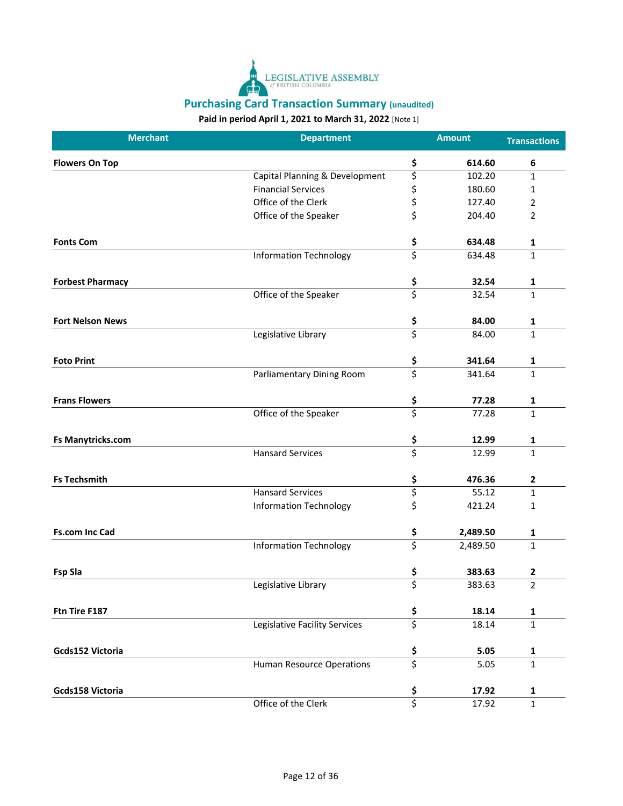

| <b>Merchant</b>          | <b>Department</b>                |                                 | <b>Amount</b> | <b>Transactions</b> |
|--------------------------|----------------------------------|---------------------------------|---------------|---------------------|
| <b>Flowers On Top</b>    |                                  | \$                              | 614.60        | 6                   |
|                          | Capital Planning & Development   | \$                              | 102.20        | $\mathbf{1}$        |
|                          | <b>Financial Services</b>        |                                 | 180.60        | 1                   |
|                          | Office of the Clerk              | \$<br>\$                        | 127.40        | 2                   |
|                          | Office of the Speaker            | \$                              | 204.40        | 2                   |
| <b>Fonts Com</b>         |                                  | \$                              | 634.48        | 1                   |
|                          | <b>Information Technology</b>    | $\overline{\boldsymbol{\zeta}}$ | 634.48        | $\mathbf{1}$        |
| <b>Forbest Pharmacy</b>  |                                  | \$                              | 32.54         | 1                   |
|                          | Office of the Speaker            | $\overline{\boldsymbol{\zeta}}$ | 32.54         | 1                   |
| <b>Fort Nelson News</b>  |                                  | \$                              | 84.00         | 1                   |
|                          | Legislative Library              | \$                              | 84.00         | 1                   |
| <b>Foto Print</b>        |                                  | \$                              | 341.64        | 1                   |
|                          | Parliamentary Dining Room        | \$                              | 341.64        | $\mathbf{1}$        |
| <b>Frans Flowers</b>     |                                  |                                 | 77.28         | 1                   |
|                          | Office of the Speaker            | \$<br>\$                        | 77.28         | $\mathbf{1}$        |
| <b>Fs Manytricks.com</b> |                                  | \$                              | 12.99         | 1                   |
|                          | <b>Hansard Services</b>          | \$                              | 12.99         | $\mathbf{1}$        |
| <b>Fs Techsmith</b>      |                                  | \$                              | 476.36        | 2                   |
|                          | <b>Hansard Services</b>          | \$                              | 55.12         | 1                   |
|                          | <b>Information Technology</b>    | \$                              | 421.24        | 1                   |
| <b>Fs.com Inc Cad</b>    |                                  | \$                              | 2,489.50      | 1                   |
|                          | <b>Information Technology</b>    | \$                              | 2,489.50      | 1                   |
| <b>Fsp Sla</b>           |                                  | \$                              | 383.63        | 2                   |
|                          | Legislative Library              | $\mathsf{\hat{S}}$              | 383.63        | 2                   |
| Ftn Tire F187            |                                  | \$                              | 18.14         | 1                   |
|                          | Legislative Facility Services    | \$                              | 18.14         | 1                   |
| Gcds152 Victoria         |                                  | \$                              | 5.05          | 1                   |
|                          | <b>Human Resource Operations</b> | $\overline{\boldsymbol{\zeta}}$ | 5.05          | $\mathbf 1$         |
| Gcds158 Victoria         |                                  | \$                              | 17.92         | $\mathbf 1$         |
|                          | Office of the Clerk              | \$                              | 17.92         | $\mathbf 1$         |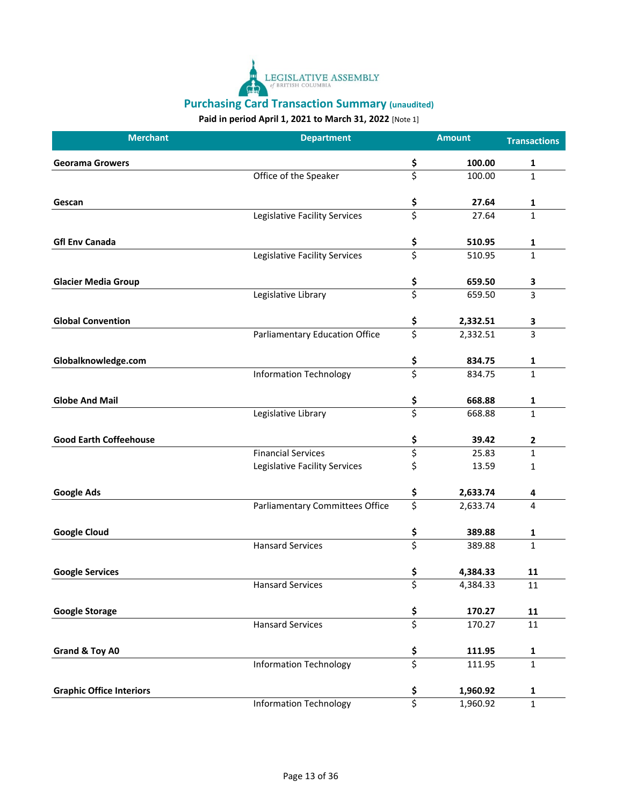

| <b>Merchant</b>                 | <b>Department</b>                      |                                 | <b>Amount</b> | <b>Transactions</b> |
|---------------------------------|----------------------------------------|---------------------------------|---------------|---------------------|
| <b>Georama Growers</b>          |                                        | \$                              | 100.00        | 1                   |
|                                 | Office of the Speaker                  | \$                              | 100.00        | 1                   |
| Gescan                          |                                        | \$                              | 27.64         | 1                   |
|                                 | Legislative Facility Services          | \$                              | 27.64         | $\mathbf{1}$        |
| <b>Gfl Env Canada</b>           |                                        | $rac{5}{5}$                     | 510.95        | 1                   |
|                                 | Legislative Facility Services          |                                 | 510.95        | $\mathbf{1}$        |
| <b>Glacier Media Group</b>      |                                        |                                 | 659.50        | 3                   |
|                                 | Legislative Library                    | $rac{5}{5}$                     | 659.50        | 3                   |
| <b>Global Convention</b>        |                                        | \$                              | 2,332.51      | 3                   |
|                                 | <b>Parliamentary Education Office</b>  | \$                              | 2,332.51      | 3                   |
| Globalknowledge.com             |                                        | \$                              | 834.75        | 1                   |
|                                 | <b>Information Technology</b>          | \$                              | 834.75        | $\mathbf{1}$        |
| <b>Globe And Mail</b>           |                                        | \$                              | 668.88        | $\mathbf{1}$        |
|                                 | Legislative Library                    | $\overline{\boldsymbol{\zeta}}$ | 668.88        | $\mathbf{1}$        |
| <b>Good Earth Coffeehouse</b>   |                                        | \$                              | 39.42         | $\mathbf{2}$        |
|                                 | <b>Financial Services</b>              | \$                              | 25.83         | $\mathbf{1}$        |
|                                 | Legislative Facility Services          | \$                              | 13.59         | 1                   |
| <b>Google Ads</b>               |                                        | \$                              | 2,633.74      | 4                   |
|                                 | <b>Parliamentary Committees Office</b> | \$                              | 2,633.74      | 4                   |
| <b>Google Cloud</b>             |                                        | \$                              | 389.88        | 1                   |
|                                 | <b>Hansard Services</b>                | \$                              | 389.88        | $\mathbf{1}$        |
| <b>Google Services</b>          |                                        | \$                              | 4,384.33      | 11                  |
|                                 | <b>Hansard Services</b>                | \$                              | 4,384.33      | 11                  |
| <b>Google Storage</b>           |                                        | \$                              | 170.27        | 11                  |
|                                 | <b>Hansard Services</b>                | $\overline{\boldsymbol{\zeta}}$ | 170.27        | 11                  |
| Grand & Toy A0                  |                                        | \$                              | 111.95        | $\mathbf 1$         |
|                                 | <b>Information Technology</b>          | $\overline{\xi}$                | 111.95        | $\mathbf 1$         |
| <b>Graphic Office Interiors</b> |                                        | \$                              | 1,960.92      | $\mathbf 1$         |
|                                 | <b>Information Technology</b>          | $\overline{\xi}$                | 1,960.92      | $\mathbf{1}$        |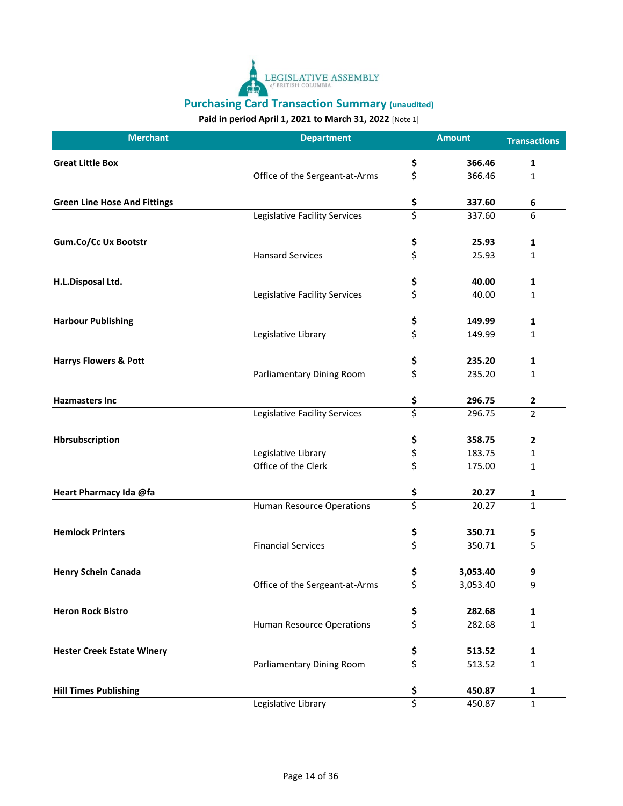

| <b>Merchant</b>                     | <b>Department</b>                |                                 | <b>Amount</b> | <b>Transactions</b>     |
|-------------------------------------|----------------------------------|---------------------------------|---------------|-------------------------|
| <b>Great Little Box</b>             |                                  | \$                              | 366.46        | 1                       |
|                                     | Office of the Sergeant-at-Arms   | \$                              | 366.46        | $\mathbf{1}$            |
| <b>Green Line Hose And Fittings</b> |                                  | \$                              | 337.60        | 6                       |
|                                     | Legislative Facility Services    | \$                              | 337.60        | 6                       |
| <b>Gum.Co/Cc Ux Bootstr</b>         |                                  |                                 | 25.93         | 1                       |
|                                     | <b>Hansard Services</b>          | \$<br>\$                        | 25.93         | $\mathbf{1}$            |
| H.L.Disposal Ltd.                   |                                  | \$                              | 40.00         | 1                       |
|                                     | Legislative Facility Services    | \$                              | 40.00         | $\mathbf{1}$            |
| <b>Harbour Publishing</b>           |                                  | \$                              | 149.99        | 1                       |
|                                     | Legislative Library              | \$                              | 149.99        | $\mathbf{1}$            |
| <b>Harrys Flowers &amp; Pott</b>    |                                  | \$                              | 235.20        | 1                       |
|                                     | Parliamentary Dining Room        | \$                              | 235.20        | $\mathbf{1}$            |
| <b>Hazmasters Inc</b>               |                                  | \$                              | 296.75        | $\overline{\mathbf{2}}$ |
|                                     | Legislative Facility Services    | \$                              | 296.75        | $\overline{2}$          |
| Hbrsubscription                     |                                  | \$                              | 358.75        | $\mathbf{2}$            |
|                                     | Legislative Library              | \$                              | 183.75        | $\mathbf{1}$            |
|                                     | Office of the Clerk              | \$                              | 175.00        | 1                       |
| Heart Pharmacy Ida @fa              |                                  | \$                              | 20.27         | 1                       |
|                                     | <b>Human Resource Operations</b> | \$                              | 20.27         | $\mathbf{1}$            |
| <b>Hemlock Printers</b>             |                                  | \$                              | 350.71        | 5                       |
|                                     | <b>Financial Services</b>        | \$                              | 350.71        | 5                       |
| <b>Henry Schein Canada</b>          |                                  | \$                              | 3,053.40      | 9                       |
|                                     | Office of the Sergeant-at-Arms   | ς                               | 3,053.40      | q                       |
| <b>Heron Rock Bistro</b>            |                                  | \$                              | 282.68        | 1                       |
|                                     | <b>Human Resource Operations</b> | \$                              | 282.68        | $\mathbf{1}$            |
| <b>Hester Creek Estate Winery</b>   |                                  | \$                              | 513.52        | 1                       |
|                                     | Parliamentary Dining Room        | $\overline{\boldsymbol{\zeta}}$ | 513.52        | $\mathbf{1}$            |
| <b>Hill Times Publishing</b>        |                                  | \$                              | 450.87        | 1                       |
|                                     | Legislative Library              | \$                              | 450.87        | $\mathbf{1}$            |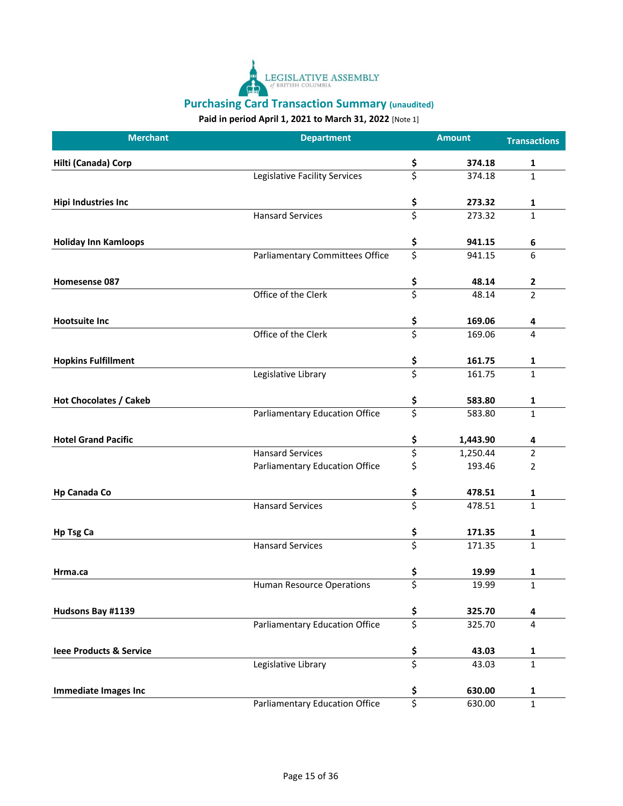

| <b>Merchant</b>               | <b>Department</b>                      |                                 | <b>Amount</b> | <b>Transactions</b>     |
|-------------------------------|----------------------------------------|---------------------------------|---------------|-------------------------|
| Hilti (Canada) Corp           |                                        | \$                              | 374.18        | 1                       |
|                               | Legislative Facility Services          | \$                              | 374.18        | 1                       |
| <b>Hipi Industries Inc</b>    |                                        | \$                              | 273.32        | 1                       |
|                               | <b>Hansard Services</b>                | \$                              | 273.32        | $\mathbf{1}$            |
| <b>Holiday Inn Kamloops</b>   |                                        | \$                              | 941.15        | 6                       |
|                               | <b>Parliamentary Committees Office</b> | $\overline{\boldsymbol{\zeta}}$ | 941.15        | 6                       |
| Homesense 087                 |                                        | \$                              | 48.14         | 2                       |
|                               | Office of the Clerk                    | \$                              | 48.14         | 2                       |
| <b>Hootsuite Inc</b>          |                                        | \$                              | 169.06        | 4                       |
|                               | Office of the Clerk                    | $\overline{\boldsymbol{\zeta}}$ | 169.06        | 4                       |
| <b>Hopkins Fulfillment</b>    |                                        | \$                              | 161.75        | 1                       |
|                               | Legislative Library                    | \$                              | 161.75        | $\mathbf{1}$            |
| <b>Hot Chocolates / Cakeb</b> |                                        | \$                              | 583.80        | 1                       |
|                               | Parliamentary Education Office         | \$                              | 583.80        | $\mathbf{1}$            |
| <b>Hotel Grand Pacific</b>    |                                        | \$                              | 1,443.90      | 4                       |
|                               | <b>Hansard Services</b>                | \$                              | 1,250.44      | $\overline{2}$          |
|                               | Parliamentary Education Office         | \$                              | 193.46        | 2                       |
| <b>Hp Canada Co</b>           |                                        | \$                              | 478.51        | 1                       |
|                               | <b>Hansard Services</b>                | \$                              | 478.51        | $\mathbf{1}$            |
| <b>Hp Tsg Ca</b>              |                                        | \$                              | 171.35        | 1                       |
|                               | <b>Hansard Services</b>                | \$                              | 171.35        | $\mathbf{1}$            |
| Hrma.ca                       |                                        | \$                              | 19.99         | 1                       |
|                               | Human Resource Operations              | ς                               | 19.99         | 1                       |
| Hudsons Bay #1139             |                                        | \$                              | 325.70        | 4                       |
|                               | <b>Parliamentary Education Office</b>  | \$                              | 325.70        | $\overline{\mathbf{4}}$ |
| leee Products & Service       |                                        | $rac{5}{5}$                     | 43.03         | 1                       |
|                               | Legislative Library                    |                                 | 43.03         | $\mathbf 1$             |
| <b>Immediate Images Inc</b>   |                                        | $rac{5}{5}$                     | 630.00        | 1                       |
|                               | <b>Parliamentary Education Office</b>  |                                 | 630.00        | $\mathbf 1$             |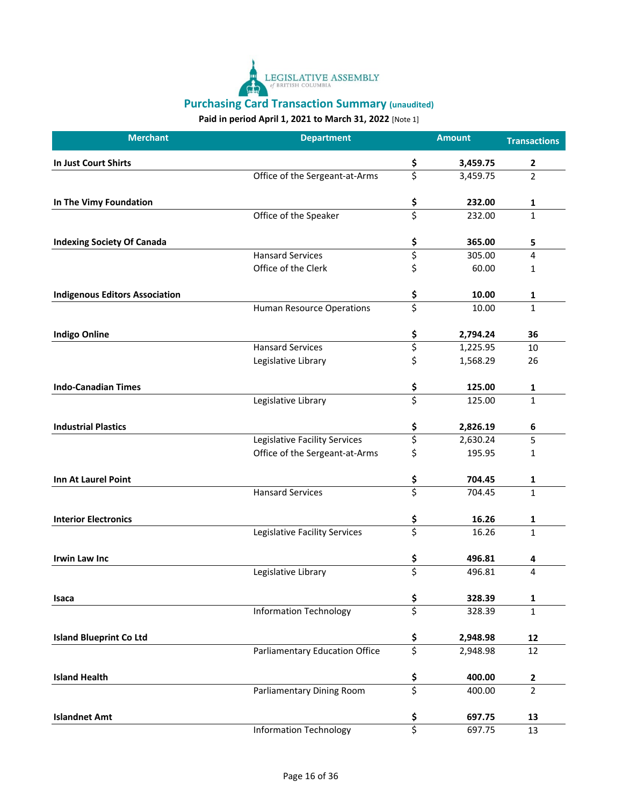

| <b>Merchant</b>                       | <b>Department</b>                     |                                 | <b>Amount</b> | <b>Transactions</b> |
|---------------------------------------|---------------------------------------|---------------------------------|---------------|---------------------|
| In Just Court Shirts                  |                                       | \$                              | 3,459.75      | 2                   |
|                                       | Office of the Sergeant-at-Arms        | \$                              | 3,459.75      | 2                   |
| In The Vimy Foundation                |                                       | \$                              | 232.00        | 1                   |
|                                       | Office of the Speaker                 | \$                              | 232.00        | 1                   |
| <b>Indexing Society Of Canada</b>     |                                       | \$                              | 365.00        | 5                   |
|                                       | <b>Hansard Services</b>               | \$                              | 305.00        | 4                   |
|                                       | Office of the Clerk                   | \$                              | 60.00         | 1                   |
| <b>Indigenous Editors Association</b> |                                       | \$                              | 10.00         | 1                   |
|                                       | <b>Human Resource Operations</b>      | \$                              | 10.00         | 1                   |
| <b>Indigo Online</b>                  |                                       | \$                              | 2,794.24      | 36                  |
|                                       | <b>Hansard Services</b>               | \$                              | 1,225.95      | 10                  |
|                                       | Legislative Library                   | \$                              | 1,568.29      | 26                  |
| <b>Indo-Canadian Times</b>            |                                       | \$                              | 125.00        | 1                   |
|                                       | Legislative Library                   | $\overline{\boldsymbol{\zeta}}$ | 125.00        | 1                   |
| <b>Industrial Plastics</b>            |                                       | \$                              | 2,826.19      | 6                   |
|                                       | Legislative Facility Services         | \$                              | 2,630.24      | 5                   |
|                                       | Office of the Sergeant-at-Arms        | \$                              | 195.95        | 1                   |
| <b>Inn At Laurel Point</b>            |                                       | \$                              | 704.45        | 1                   |
|                                       | <b>Hansard Services</b>               | \$                              | 704.45        | $\mathbf{1}$        |
| <b>Interior Electronics</b>           |                                       | \$                              | 16.26         | 1                   |
|                                       | Legislative Facility Services         | \$                              | 16.26         | $\mathbf{1}$        |
| <b>Irwin Law Inc</b>                  |                                       | $rac{5}{5}$                     | 496.81        | 4                   |
|                                       | Legislative Library                   |                                 | 496.81        | 4                   |
| Isaca                                 |                                       | \$                              | 328.39        | 1                   |
|                                       | <b>Information Technology</b>         | \$                              | 328.39        | $\mathbf{1}$        |
| <b>Island Blueprint Co Ltd</b>        |                                       |                                 | 2,948.98      | 12                  |
|                                       | <b>Parliamentary Education Office</b> | $rac{5}{5}$                     | 2,948.98      | 12                  |
| <b>Island Health</b>                  |                                       | $\boldsymbol{\xi}$              | 400.00        | 2                   |
|                                       | Parliamentary Dining Room             | $\overline{\boldsymbol{\zeta}}$ | 400.00        | $\overline{2}$      |
| <b>Islandnet Amt</b>                  |                                       | \$                              | 697.75        | 13                  |
|                                       | <b>Information Technology</b>         | \$                              | 697.75        | 13                  |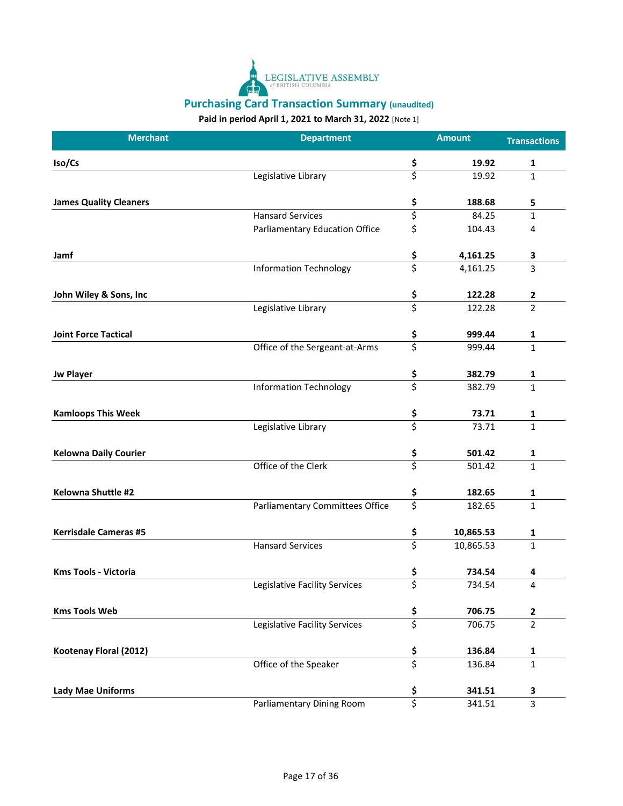

| <b>Merchant</b>               | <b>Department</b>               |               | <b>Amount</b> | <b>Transactions</b>     |
|-------------------------------|---------------------------------|---------------|---------------|-------------------------|
| Iso/Cs                        |                                 | \$            | 19.92         | 1                       |
|                               | Legislative Library             | \$            | 19.92         | $\mathbf{1}$            |
| <b>James Quality Cleaners</b> |                                 | \$            | 188.68        | 5                       |
|                               | <b>Hansard Services</b>         | \$            | 84.25         | $\mathbf{1}$            |
|                               | Parliamentary Education Office  | \$            | 104.43        | 4                       |
| Jamf                          |                                 | \$            | 4,161.25      | 3                       |
|                               | <b>Information Technology</b>   | \$            | 4,161.25      | 3                       |
| John Wiley & Sons, Inc        |                                 | \$            | 122.28        | $\mathbf{2}$            |
|                               | Legislative Library             | \$            | 122.28        | 2                       |
| <b>Joint Force Tactical</b>   |                                 | \$            | 999.44        | 1                       |
|                               | Office of the Sergeant-at-Arms  | \$            | 999.44        | $\mathbf{1}$            |
| <b>Jw Player</b>              |                                 | \$            | 382.79        | 1                       |
|                               | <b>Information Technology</b>   | \$            | 382.79        | $\mathbf{1}$            |
| <b>Kamloops This Week</b>     |                                 |               | 73.71         | 1                       |
|                               | Legislative Library             | $rac{5}{5}$   | 73.71         | $\mathbf{1}$            |
| <b>Kelowna Daily Courier</b>  |                                 |               | 501.42        | $\mathbf{1}$            |
|                               | Office of the Clerk             | $\frac{5}{5}$ | 501.42        | $\mathbf{1}$            |
| Kelowna Shuttle #2            |                                 | \$            | 182.65        | 1                       |
|                               | Parliamentary Committees Office | \$            | 182.65        | $\mathbf{1}$            |
| <b>Kerrisdale Cameras #5</b>  |                                 | \$            | 10,865.53     | 1                       |
|                               | <b>Hansard Services</b>         | \$            | 10,865.53     | $\mathbf{1}$            |
| <b>Kms Tools - Victoria</b>   |                                 | \$            | 734.54        | 4                       |
|                               | Legislative Facility Services   | ς             | 734.54        | 4                       |
| <b>Kms Tools Web</b>          |                                 | \$            | 706.75        | $\overline{\mathbf{c}}$ |
|                               | Legislative Facility Services   | \$            | 706.75        | $\overline{2}$          |
| Kootenay Floral (2012)        |                                 | $rac{5}{5}$   | 136.84        | 1                       |
|                               | Office of the Speaker           |               | 136.84        | $\mathbf{1}$            |
| <b>Lady Mae Uniforms</b>      |                                 | \$            | 341.51        | 3                       |
|                               | Parliamentary Dining Room       | \$            | 341.51        | 3                       |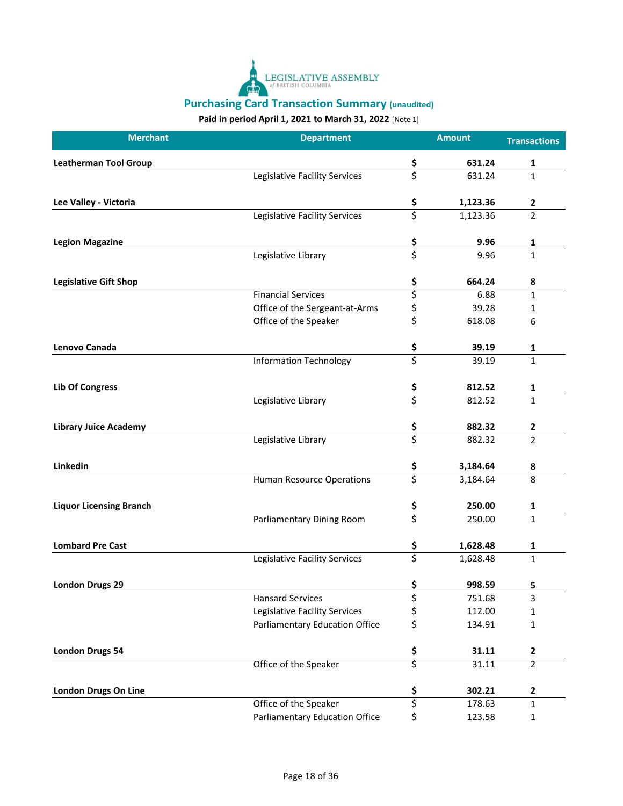

| <b>Merchant</b>                | <b>Department</b>                     |                                 | <b>Amount</b> | <b>Transactions</b>     |
|--------------------------------|---------------------------------------|---------------------------------|---------------|-------------------------|
| <b>Leatherman Tool Group</b>   |                                       | \$                              | 631.24        | 1                       |
|                                | Legislative Facility Services         | \$                              | 631.24        | $\mathbf{1}$            |
| Lee Valley - Victoria          |                                       | \$                              | 1,123.36      | $\overline{2}$          |
|                                | Legislative Facility Services         | \$                              | 1,123.36      | $\overline{2}$          |
| <b>Legion Magazine</b>         |                                       | \$<br>\$                        | 9.96          | 1                       |
|                                | Legislative Library                   |                                 | 9.96          | $\mathbf{1}$            |
| <b>Legislative Gift Shop</b>   |                                       | \$                              | 664.24        | 8                       |
|                                | <b>Financial Services</b>             | \$                              | 6.88          | $\mathbf{1}$            |
|                                | Office of the Sergeant-at-Arms        | \$                              | 39.28         | 1                       |
|                                | Office of the Speaker                 | \$                              | 618.08        | 6                       |
| Lenovo Canada                  |                                       | \$                              | 39.19         | 1                       |
|                                | <b>Information Technology</b>         | \$                              | 39.19         | $\mathbf{1}$            |
| <b>Lib Of Congress</b>         |                                       | \$                              | 812.52        | 1                       |
|                                | Legislative Library                   | $\overline{\boldsymbol{\zeta}}$ | 812.52        | $\mathbf{1}$            |
| <b>Library Juice Academy</b>   |                                       | \$                              | 882.32        | $\overline{\mathbf{c}}$ |
|                                | Legislative Library                   | \$                              | 882.32        | $\overline{2}$          |
| Linkedin                       |                                       | \$                              | 3,184.64      | 8                       |
|                                | Human Resource Operations             | \$                              | 3,184.64      | 8                       |
| <b>Liquor Licensing Branch</b> |                                       | \$                              | 250.00        | 1                       |
|                                | Parliamentary Dining Room             | \$                              | 250.00        | 1                       |
| <b>Lombard Pre Cast</b>        |                                       | \$                              | 1,628.48      | $\mathbf{1}$            |
|                                | Legislative Facility Services         | $\overline{\boldsymbol{\zeta}}$ | 1,628.48      | $\mathbf{1}$            |
| <b>London Drugs 29</b>         |                                       | Ś                               | 998.59        | 5                       |
|                                | <b>Hansard Services</b>               | \$                              | 751.68        | $\overline{3}$          |
|                                | Legislative Facility Services         | \$                              | 112.00        | 1                       |
|                                | <b>Parliamentary Education Office</b> | \$                              | 134.91        | 1                       |
| <b>London Drugs 54</b>         |                                       | \$                              | 31.11         | $\overline{2}$          |
|                                | Office of the Speaker                 | $\overline{\boldsymbol{\zeta}}$ | 31.11         | $\overline{2}$          |
| <b>London Drugs On Line</b>    |                                       | \$                              | 302.21        | $\mathbf{2}$            |
|                                | Office of the Speaker                 | \$                              | 178.63        | 1                       |
|                                | <b>Parliamentary Education Office</b> | \$                              | 123.58        | $\mathbf{1}$            |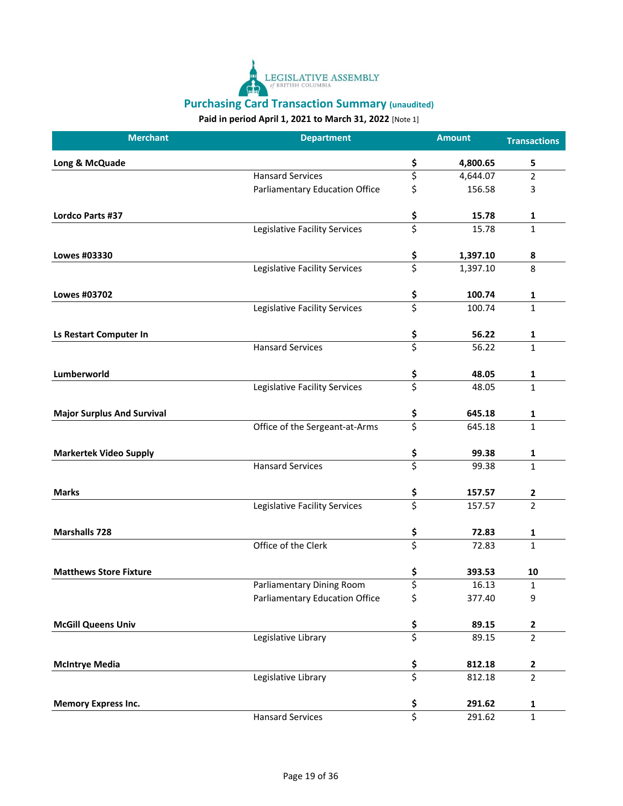

| <b>Merchant</b>                   | <b>Department</b>                     |                                 | <b>Amount</b> | <b>Transactions</b> |
|-----------------------------------|---------------------------------------|---------------------------------|---------------|---------------------|
| Long & McQuade                    |                                       | \$                              | 4,800.65      | 5                   |
|                                   | <b>Hansard Services</b>               | \$                              | 4,644.07      | $\overline{2}$      |
|                                   | Parliamentary Education Office        | \$                              | 156.58        | 3                   |
| Lordco Parts #37                  |                                       | \$                              | 15.78         | 1                   |
|                                   | Legislative Facility Services         | \$                              | 15.78         | $\mathbf{1}$        |
| Lowes #03330                      |                                       | \$<br>\$                        | 1,397.10      | 8                   |
|                                   | Legislative Facility Services         |                                 | 1,397.10      | 8                   |
| Lowes #03702                      |                                       | \$                              | 100.74        | $\mathbf{1}$        |
|                                   | Legislative Facility Services         | \$                              | 100.74        | $\mathbf{1}$        |
| Ls Restart Computer In            |                                       | \$                              | 56.22         | 1                   |
|                                   | <b>Hansard Services</b>               | $\overline{\boldsymbol{\zeta}}$ | 56.22         | $\mathbf{1}$        |
| Lumberworld                       |                                       | \$                              | 48.05         | 1                   |
|                                   | Legislative Facility Services         | \$                              | 48.05         | $\mathbf{1}$        |
| <b>Major Surplus And Survival</b> |                                       | \$                              | 645.18        | 1                   |
|                                   | Office of the Sergeant-at-Arms        | $\overline{\boldsymbol{\zeta}}$ | 645.18        | $\mathbf{1}$        |
| <b>Markertek Video Supply</b>     |                                       | \$                              | 99.38         | $\mathbf{1}$        |
|                                   | <b>Hansard Services</b>               | \$                              | 99.38         | $\mathbf{1}$        |
| <b>Marks</b>                      |                                       | \$                              | 157.57        | $\overline{2}$      |
|                                   | Legislative Facility Services         | \$                              | 157.57        | $\overline{2}$      |
| <b>Marshalls 728</b>              |                                       | \$                              | 72.83         | 1                   |
|                                   | Office of the Clerk                   | \$                              | 72.83         | $\mathbf{1}$        |
| <b>Matthews Store Fixture</b>     |                                       | \$                              | 393.53        | 10                  |
|                                   | Parliamentary Dining Room             | \$                              | 16.13         | 1                   |
|                                   | <b>Parliamentary Education Office</b> | \$                              | 377.40        | 9                   |
| <b>McGill Queens Univ</b>         |                                       | \$                              | 89.15         | $\mathbf 2$         |
|                                   | Legislative Library                   | \$                              | 89.15         | $\overline{2}$      |
| <b>McIntrye Media</b>             |                                       | $rac{5}{5}$                     | 812.18        | $\mathbf{2}$        |
|                                   | Legislative Library                   |                                 | 812.18        | $\overline{2}$      |
| <b>Memory Express Inc.</b>        |                                       | $\boldsymbol{\xi}$              | 291.62        | $\mathbf{1}$        |
|                                   | <b>Hansard Services</b>               | $\overline{\mathsf{S}}$         | 291.62        | $\mathbf 1$         |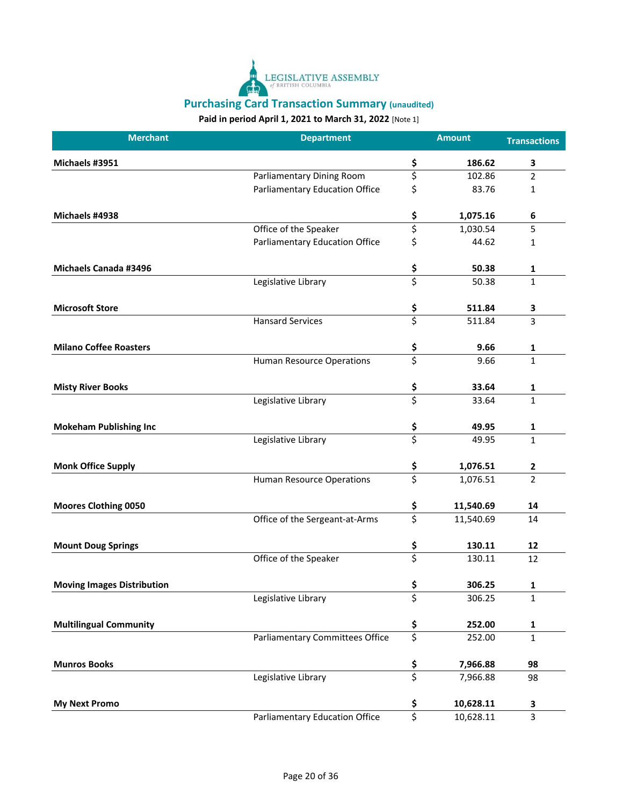

| <b>Merchant</b>                   | <b>Department</b>                     |                         | <b>Amount</b> | <b>Transactions</b> |
|-----------------------------------|---------------------------------------|-------------------------|---------------|---------------------|
| Michaels #3951                    |                                       | \$                      | 186.62        | 3                   |
|                                   | Parliamentary Dining Room             | \$                      | 102.86        | 2                   |
|                                   | <b>Parliamentary Education Office</b> | \$                      | 83.76         | 1                   |
| Michaels #4938                    |                                       | \$                      | 1,075.16      | 6                   |
|                                   | Office of the Speaker                 | \$                      | 1,030.54      | 5                   |
|                                   | Parliamentary Education Office        | \$                      | 44.62         | 1                   |
| <b>Michaels Canada #3496</b>      |                                       | \$                      | 50.38         | 1                   |
|                                   | Legislative Library                   | $\overline{\mathsf{S}}$ | 50.38         | $\mathbf{1}$        |
| <b>Microsoft Store</b>            |                                       | \$                      | 511.84        | 3                   |
|                                   | <b>Hansard Services</b>               | \$                      | 511.84        | 3                   |
| <b>Milano Coffee Roasters</b>     |                                       | \$                      | 9.66          | 1                   |
|                                   | <b>Human Resource Operations</b>      | \$                      | 9.66          | $\mathbf{1}$        |
| <b>Misty River Books</b>          |                                       | \$                      | 33.64         | 1                   |
|                                   | Legislative Library                   | \$                      | 33.64         | 1                   |
| <b>Mokeham Publishing Inc</b>     |                                       | $rac{5}{5}$             | 49.95         | 1                   |
|                                   | Legislative Library                   |                         | 49.95         | $\mathbf{1}$        |
| <b>Monk Office Supply</b>         |                                       | \$                      | 1,076.51      | $\mathbf{2}$        |
|                                   | <b>Human Resource Operations</b>      | \$                      | 1,076.51      | 2                   |
| <b>Moores Clothing 0050</b>       |                                       | \$                      | 11,540.69     | 14                  |
|                                   | Office of the Sergeant-at-Arms        | \$                      | 11,540.69     | 14                  |
| <b>Mount Doug Springs</b>         |                                       | \$<br>\$                | 130.11        | 12                  |
|                                   | Office of the Speaker                 |                         | 130.11        | 12                  |
| <b>Moving Images Distribution</b> |                                       | \$                      | 306.25        | 1                   |
|                                   | Legislative Library                   | \$                      | 306.25        | 1                   |
| <b>Multilingual Community</b>     |                                       | \$                      | 252.00        | 1                   |
|                                   | Parliamentary Committees Office       | $\overline{\xi}$        | 252.00        | 1                   |
| <b>Munros Books</b>               |                                       | $rac{5}{5}$             | 7,966.88      | 98                  |
|                                   | Legislative Library                   |                         | 7,966.88      | 98                  |
| <b>My Next Promo</b>              |                                       | \$                      | 10,628.11     | 3                   |
|                                   | <b>Parliamentary Education Office</b> | \$                      | 10,628.11     | 3                   |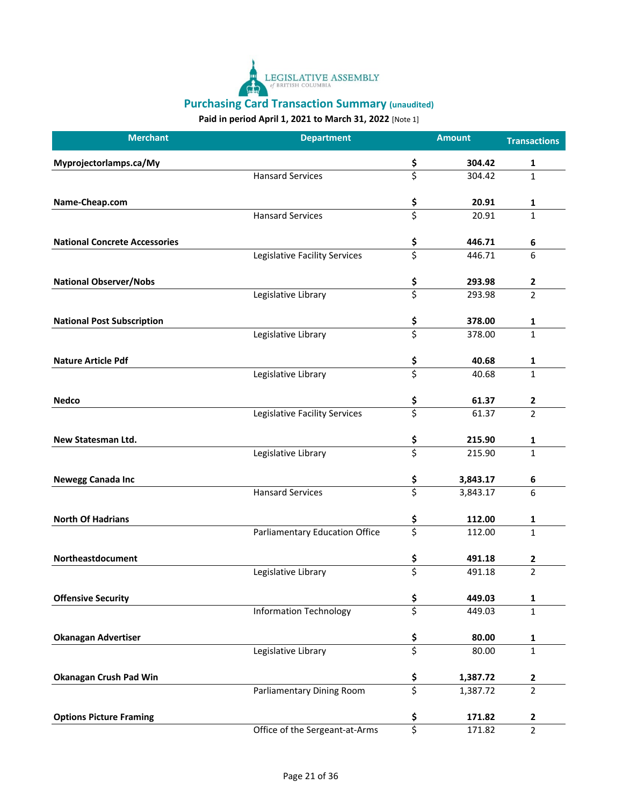

| <b>Merchant</b>                      | <b>Department</b>                     |                                 | <b>Amount</b> | <b>Transactions</b> |
|--------------------------------------|---------------------------------------|---------------------------------|---------------|---------------------|
| Myprojectorlamps.ca/My               |                                       | \$                              | 304.42        | 1                   |
|                                      | <b>Hansard Services</b>               | \$                              | 304.42        | 1                   |
| Name-Cheap.com                       |                                       | \$                              | 20.91         | 1                   |
|                                      | <b>Hansard Services</b>               | $\overline{\boldsymbol{\zeta}}$ | 20.91         | $\mathbf{1}$        |
| <b>National Concrete Accessories</b> |                                       | \$<br>\$                        | 446.71        | 6                   |
|                                      | Legislative Facility Services         |                                 | 446.71        | 6                   |
| <b>National Observer/Nobs</b>        |                                       | $\frac{5}{5}$                   | 293.98        | 2                   |
|                                      | Legislative Library                   |                                 | 293.98        | $\overline{2}$      |
| <b>National Post Subscription</b>    |                                       | \$                              | 378.00        | 1                   |
|                                      | Legislative Library                   | $\overline{\boldsymbol{\zeta}}$ | 378.00        | 1                   |
| <b>Nature Article Pdf</b>            |                                       | \$                              | 40.68         | 1                   |
|                                      | Legislative Library                   | $\overline{\mathsf{S}}$         | 40.68         | 1                   |
| <b>Nedco</b>                         |                                       |                                 | 61.37         | 2                   |
|                                      | Legislative Facility Services         | \$<br>\$                        | 61.37         | $\overline{2}$      |
| <b>New Statesman Ltd.</b>            |                                       | \$                              | 215.90        | 1                   |
|                                      | Legislative Library                   | \$                              | 215.90        | 1                   |
| <b>Newegg Canada Inc</b>             |                                       | \$                              | 3,843.17      | 6                   |
|                                      | <b>Hansard Services</b>               | \$                              | 3,843.17      | 6                   |
| <b>North Of Hadrians</b>             |                                       | \$                              | 112.00        | 1                   |
|                                      | <b>Parliamentary Education Office</b> | \$                              | 112.00        | $\mathbf{1}$        |
| Northeastdocument                    |                                       | <u>\$</u>                       | 491.18        | 2                   |
|                                      | Legislative Library                   | $\overline{\boldsymbol{\zeta}}$ | 491.18        | 2                   |
| <b>Offensive Security</b>            |                                       | \$                              | 449.03        | 1                   |
|                                      | <b>Information Technology</b>         | \$                              | 449.03        | 1                   |
| <b>Okanagan Advertiser</b>           |                                       | $rac{5}{5}$                     | 80.00         | 1                   |
|                                      | Legislative Library                   |                                 | 80.00         | $\mathbf 1$         |
| <b>Okanagan Crush Pad Win</b>        |                                       | $rac{5}{5}$                     | 1,387.72      | 2                   |
|                                      | Parliamentary Dining Room             |                                 | 1,387.72      | $\overline{2}$      |
| <b>Options Picture Framing</b>       |                                       | \$                              | 171.82        | 2                   |
|                                      | Office of the Sergeant-at-Arms        | \$                              | 171.82        | $\overline{2}$      |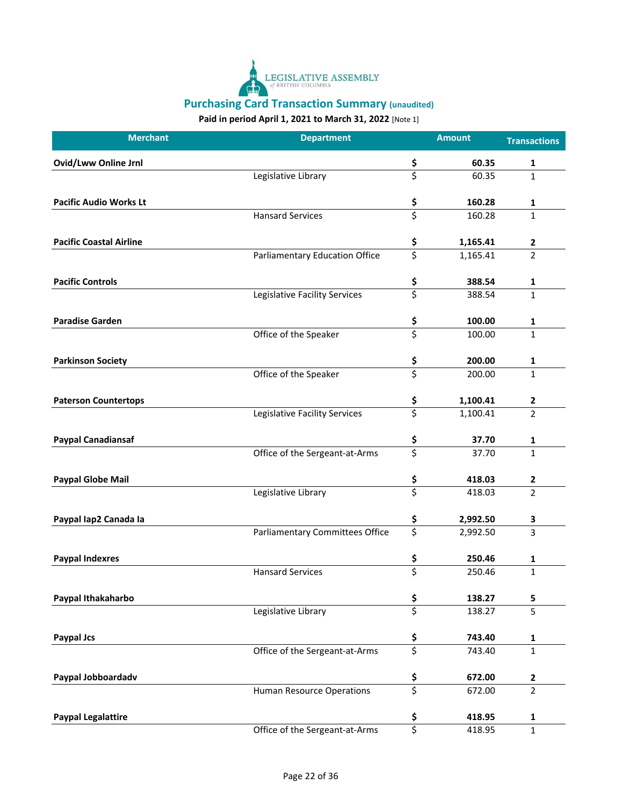

| <b>Merchant</b>                | <b>Department</b>                     |                                 | <b>Amount</b> | <b>Transactions</b> |
|--------------------------------|---------------------------------------|---------------------------------|---------------|---------------------|
| <b>Ovid/Lww Online Jrnl</b>    |                                       | \$                              | 60.35         | 1                   |
|                                | Legislative Library                   | \$                              | 60.35         | 1                   |
| <b>Pacific Audio Works Lt</b>  |                                       | \$                              | 160.28        | 1                   |
|                                | <b>Hansard Services</b>               | \$                              | 160.28        | 1                   |
| <b>Pacific Coastal Airline</b> |                                       | \$                              | 1,165.41      | 2                   |
|                                | <b>Parliamentary Education Office</b> | \$                              | 1,165.41      | $\overline{2}$      |
| <b>Pacific Controls</b>        |                                       | \$                              | 388.54        | 1                   |
|                                | Legislative Facility Services         | $\overline{\boldsymbol{\zeta}}$ | 388.54        | 1                   |
| <b>Paradise Garden</b>         |                                       | \$                              | 100.00        | 1                   |
|                                | Office of the Speaker                 | \$                              | 100.00        | 1                   |
| <b>Parkinson Society</b>       |                                       | \$                              | 200.00        | 1                   |
|                                | Office of the Speaker                 | \$                              | 200.00        | 1                   |
| <b>Paterson Countertops</b>    |                                       | <u>\$</u>                       | 1,100.41      | 2                   |
|                                | Legislative Facility Services         | $\overline{\boldsymbol{\zeta}}$ | 1,100.41      | $\overline{2}$      |
| <b>Paypal Canadiansaf</b>      |                                       | \$                              | 37.70         | 1                   |
|                                | Office of the Sergeant-at-Arms        | \$                              | 37.70         | 1                   |
| <b>Paypal Globe Mail</b>       |                                       | \$                              | 418.03        | 2                   |
|                                | Legislative Library                   | \$                              | 418.03        | 2                   |
| Paypal lap2 Canada la          |                                       | \$                              | 2,992.50      | 3                   |
|                                | Parliamentary Committees Office       | \$                              | 2,992.50      | 3                   |
| <b>Paypal Indexres</b>         |                                       | <u>\$</u>                       | 250.46        | 1                   |
|                                | <b>Hansard Services</b>               | $\overline{\boldsymbol{\zeta}}$ | 250.46        | $\mathbf{1}$        |
| Paypal Ithakaharbo             |                                       | \$                              | 138.27        | 5                   |
|                                | Legislative Library                   | \$                              | 138.27        | 5                   |
| Paypal Jcs                     |                                       | $rac{5}{5}$                     | 743.40        | 1                   |
|                                | Office of the Sergeant-at-Arms        |                                 | 743.40        | $\mathbf 1$         |
| Paypal Jobboardadv             |                                       | \$                              | 672.00        | 2                   |
|                                | <b>Human Resource Operations</b>      | $\overline{\xi}$                | 672.00        | $\overline{2}$      |
| <b>Paypal Legalattire</b>      |                                       | \$                              | 418.95        | 1                   |
|                                | Office of the Sergeant-at-Arms        | \$                              | 418.95        | 1                   |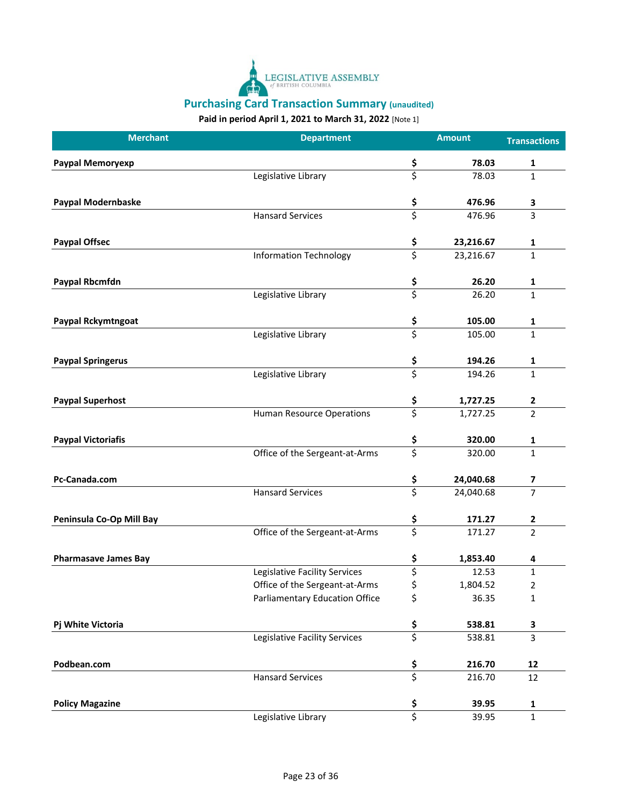

| <b>Merchant</b>             | <b>Department</b>                     |                                 | <b>Amount</b> | <b>Transactions</b> |
|-----------------------------|---------------------------------------|---------------------------------|---------------|---------------------|
| Paypal Memoryexp            |                                       | \$                              | 78.03         | 1                   |
|                             | Legislative Library                   | \$                              | 78.03         | 1                   |
| Paypal Modernbaske          |                                       | \$                              | 476.96        | 3                   |
|                             | <b>Hansard Services</b>               | \$                              | 476.96        | 3                   |
| <b>Paypal Offsec</b>        |                                       | $rac{5}{5}$                     | 23,216.67     | 1                   |
|                             | <b>Information Technology</b>         |                                 | 23,216.67     | 1                   |
| Paypal Rbcmfdn              |                                       | \$                              | 26.20         | 1                   |
|                             | Legislative Library                   | \$                              | 26.20         | 1                   |
| Paypal Rckymtngoat          |                                       | \$                              | 105.00        | 1                   |
|                             | Legislative Library                   | $\overline{\boldsymbol{\zeta}}$ | 105.00        | 1                   |
| <b>Paypal Springerus</b>    |                                       | \$                              | 194.26        | 1                   |
|                             | Legislative Library                   | \$                              | 194.26        | $\mathbf{1}$        |
| <b>Paypal Superhost</b>     |                                       | \$                              | 1,727.25      | 2                   |
|                             | <b>Human Resource Operations</b>      | \$                              | 1,727.25      | $\overline{2}$      |
| <b>Paypal Victoriafis</b>   |                                       | \$                              | 320.00        | 1                   |
|                             | Office of the Sergeant-at-Arms        | \$                              | 320.00        | $\mathbf{1}$        |
| Pc-Canada.com               |                                       | \$                              | 24,040.68     | 7                   |
|                             | <b>Hansard Services</b>               | \$                              | 24,040.68     | $\overline{7}$      |
| Peninsula Co-Op Mill Bay    |                                       | \$                              | 171.27        | 2                   |
|                             | Office of the Sergeant-at-Arms        | \$                              | 171.27        | $\overline{2}$      |
| <b>Pharmasave James Bay</b> |                                       | \$                              | 1,853.40      | 4                   |
|                             | Legislative Facility Services         | \$                              | 12.53         | 1                   |
|                             | Office of the Sergeant-at-Arms        | Ś                               | 1,804.52      | 2                   |
|                             | <b>Parliamentary Education Office</b> | \$                              | 36.35         | $\mathbf{1}$        |
| Pj White Victoria           |                                       | \$                              | 538.81        | 3                   |
|                             | Legislative Facility Services         | \$                              | 538.81        | 3                   |
| Podbean.com                 |                                       | $rac{5}{5}$                     | 216.70        | 12                  |
|                             | <b>Hansard Services</b>               |                                 | 216.70        | 12                  |
| <b>Policy Magazine</b>      |                                       | \$                              | 39.95         | 1                   |
|                             | Legislative Library                   | $\overline{\xi}$                | 39.95         | 1                   |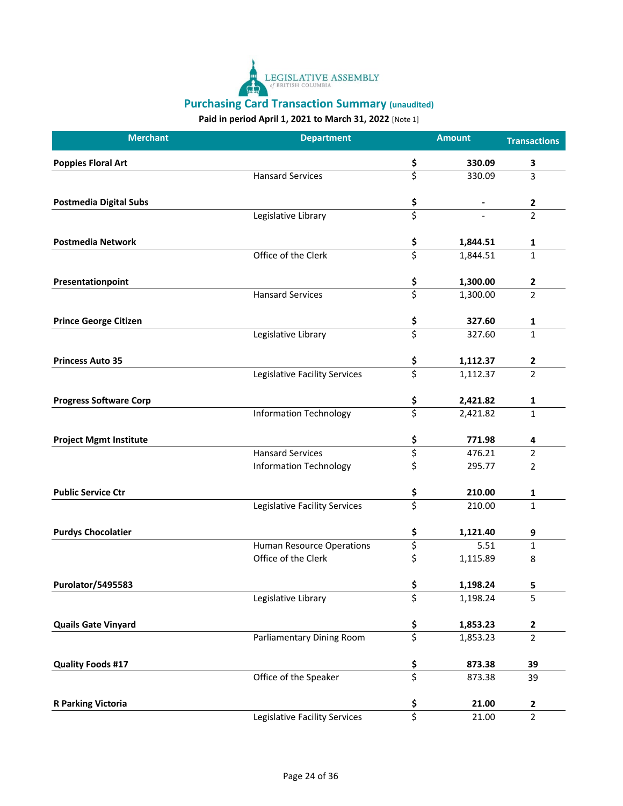

| <b>Merchant</b>               | <b>Department</b>                |                                 | <b>Amount</b> | <b>Transactions</b> |
|-------------------------------|----------------------------------|---------------------------------|---------------|---------------------|
| <b>Poppies Floral Art</b>     |                                  | \$                              | 330.09        | 3                   |
|                               | <b>Hansard Services</b>          | \$                              | 330.09        | 3                   |
| <b>Postmedia Digital Subs</b> |                                  | \$                              |               | 2                   |
|                               | Legislative Library              | \$                              |               | $\overline{2}$      |
| <b>Postmedia Network</b>      |                                  | <u>\$</u>                       | 1,844.51      | 1                   |
|                               | Office of the Clerk              | $\overline{\boldsymbol{\zeta}}$ | 1,844.51      | $\mathbf{1}$        |
| Presentationpoint             |                                  | \$                              | 1,300.00      | 2                   |
|                               | <b>Hansard Services</b>          | \$                              | 1,300.00      | $\overline{2}$      |
| <b>Prince George Citizen</b>  |                                  | \$                              | 327.60        | 1                   |
|                               | Legislative Library              | \$                              | 327.60        | $\mathbf{1}$        |
| <b>Princess Auto 35</b>       |                                  | \$                              | 1,112.37      | 2                   |
|                               | Legislative Facility Services    | \$                              | 1,112.37      | $\overline{2}$      |
| <b>Progress Software Corp</b> |                                  | \$                              | 2,421.82      | 1                   |
|                               | <b>Information Technology</b>    | \$                              | 2,421.82      | 1                   |
| <b>Project Mgmt Institute</b> |                                  | \$                              | 771.98        | 4                   |
|                               | <b>Hansard Services</b>          | \$                              | 476.21        | 2                   |
|                               | <b>Information Technology</b>    | \$                              | 295.77        | 2                   |
| <b>Public Service Ctr</b>     |                                  | \$                              | 210.00        | 1                   |
|                               | Legislative Facility Services    | \$                              | 210.00        | 1                   |
| <b>Purdys Chocolatier</b>     |                                  | \$                              | 1,121.40      | 9                   |
|                               | <b>Human Resource Operations</b> | \$                              | 5.51          | 1                   |
|                               | Office of the Clerk              | \$                              | 1,115.89      | 8                   |
| <b>Purolator/5495583</b>      |                                  | \$                              | 1,198.24      | 5                   |
|                               | Legislative Library              | \$                              | 1,198.24      | 5                   |
| <b>Quails Gate Vinyard</b>    |                                  | \$                              | 1,853.23      | 2                   |
|                               | Parliamentary Dining Room        | $\overline{\xi}$                | 1,853.23      | $\overline{2}$      |
| <b>Quality Foods #17</b>      |                                  |                                 | 873.38        | 39                  |
|                               | Office of the Speaker            | $rac{5}{5}$                     | 873.38        | 39                  |
| <b>R Parking Victoria</b>     |                                  | $rac{5}{5}$                     | 21.00         | 2                   |
|                               | Legislative Facility Services    |                                 | 21.00         | $\overline{2}$      |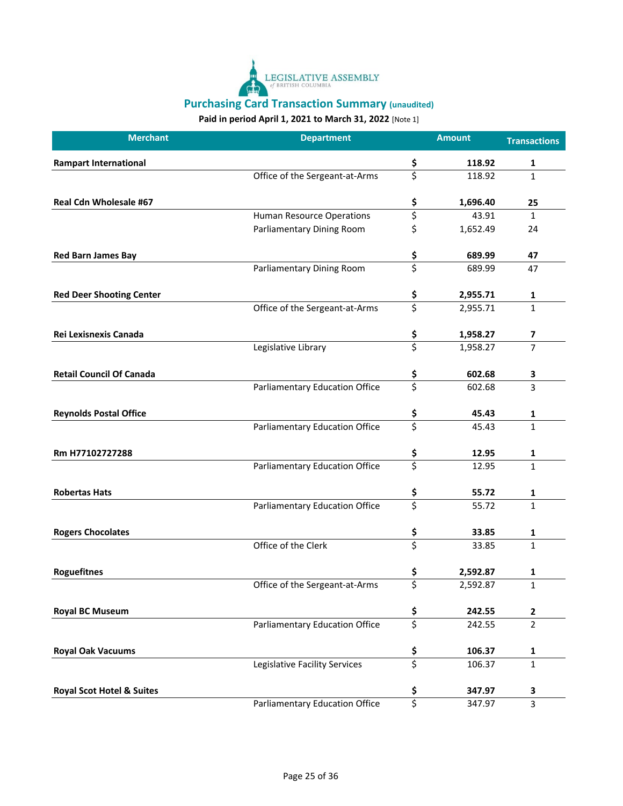

| <b>Merchant</b>                      | <b>Department</b>                     |                                 | <b>Amount</b> | <b>Transactions</b> |
|--------------------------------------|---------------------------------------|---------------------------------|---------------|---------------------|
| <b>Rampart International</b>         |                                       | \$                              | 118.92        | 1                   |
|                                      | Office of the Sergeant-at-Arms        | \$                              | 118.92        | $\mathbf{1}$        |
| Real Cdn Wholesale #67               |                                       | \$                              | 1,696.40      | 25                  |
|                                      | Human Resource Operations             | \$                              | 43.91         | 1                   |
|                                      | <b>Parliamentary Dining Room</b>      | \$                              | 1,652.49      | 24                  |
| <b>Red Barn James Bay</b>            |                                       | \$                              | 689.99        | 47                  |
|                                      | Parliamentary Dining Room             | \$                              | 689.99        | 47                  |
| <b>Red Deer Shooting Center</b>      |                                       | \$                              | 2,955.71      | 1                   |
|                                      | Office of the Sergeant-at-Arms        | \$                              | 2,955.71      | $\mathbf{1}$        |
| Rei Lexisnexis Canada                |                                       | \$                              | 1,958.27      | 7                   |
|                                      | Legislative Library                   | \$                              | 1,958.27      | $\overline{7}$      |
| <b>Retail Council Of Canada</b>      |                                       | \$                              | 602.68        | 3                   |
|                                      | <b>Parliamentary Education Office</b> | \$                              | 602.68        | 3                   |
| <b>Reynolds Postal Office</b>        |                                       | \$                              | 45.43         | 1                   |
|                                      | <b>Parliamentary Education Office</b> | \$                              | 45.43         | $\mathbf{1}$        |
| Rm H77102727288                      |                                       | \$                              | 12.95         | 1                   |
|                                      | <b>Parliamentary Education Office</b> | \$                              | 12.95         | $\mathbf{1}$        |
| <b>Robertas Hats</b>                 |                                       | \$                              | 55.72         | 1                   |
|                                      | <b>Parliamentary Education Office</b> | \$                              | 55.72         | $\mathbf{1}$        |
| <b>Rogers Chocolates</b>             |                                       | \$                              | 33.85         | 1                   |
|                                      | Office of the Clerk                   | $\overline{\boldsymbol{\zeta}}$ | 33.85         | 1                   |
| Roguefitnes                          |                                       | \$                              | 2,592.87      | 1                   |
|                                      | Office of the Sergeant-at-Arms        | Ś                               | 2,592.87      | 1                   |
| <b>Royal BC Museum</b>               |                                       | \$                              | 242.55        | $\mathbf{2}$        |
|                                      | Parliamentary Education Office        | \$                              | 242.55        | $\overline{2}$      |
| <b>Royal Oak Vacuums</b>             |                                       |                                 | 106.37        | 1                   |
|                                      | Legislative Facility Services         | $rac{5}{5}$                     | 106.37        | $\mathbf{1}$        |
| <b>Royal Scot Hotel &amp; Suites</b> |                                       | \$                              | 347.97        | 3                   |
|                                      | <b>Parliamentary Education Office</b> | \$                              | 347.97        | 3                   |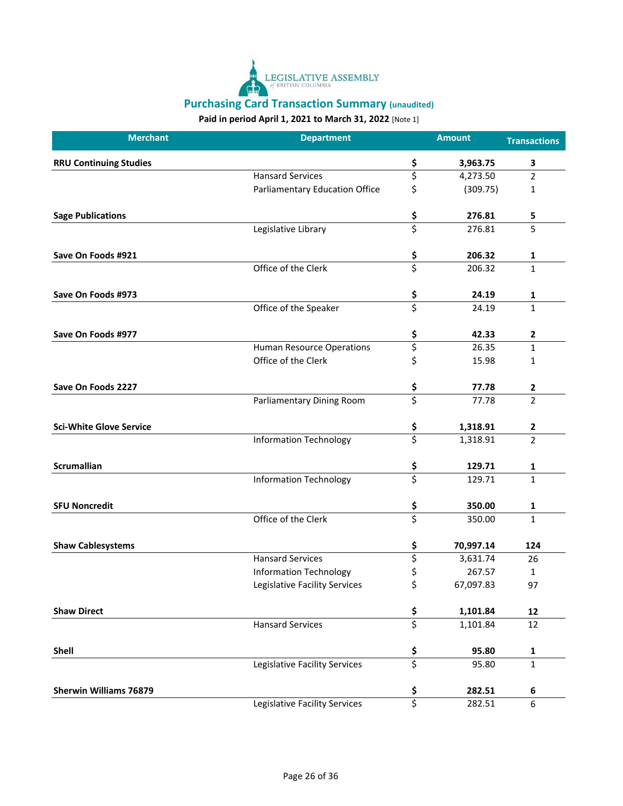

| <b>Merchant</b>                | <b>Department</b>                |                                 | <b>Amount</b> | <b>Transactions</b> |
|--------------------------------|----------------------------------|---------------------------------|---------------|---------------------|
| <b>RRU Continuing Studies</b>  |                                  | \$                              | 3,963.75      | 3                   |
|                                | <b>Hansard Services</b>          | \$                              | 4,273.50      | 2                   |
|                                | Parliamentary Education Office   | \$                              | (309.75)      | 1                   |
| <b>Sage Publications</b>       |                                  | \$                              | 276.81        | 5                   |
|                                | Legislative Library              | \$                              | 276.81        | 5                   |
| Save On Foods #921             |                                  |                                 | 206.32        | 1                   |
|                                | Office of the Clerk              | \$<br>\$                        | 206.32        | $\mathbf{1}$        |
| Save On Foods #973             |                                  | \$                              | 24.19         | 1                   |
|                                | Office of the Speaker            | \$                              | 24.19         | 1                   |
| Save On Foods #977             |                                  | \$                              | 42.33         | 2                   |
|                                | <b>Human Resource Operations</b> | $\overline{\mathbf{z}}$         | 26.35         | 1                   |
|                                | Office of the Clerk              | \$                              | 15.98         | 1                   |
| Save On Foods 2227             |                                  | \$                              | 77.78         | 2                   |
|                                | Parliamentary Dining Room        | \$                              | 77.78         | 2                   |
| <b>Sci-White Glove Service</b> |                                  | \$                              | 1,318.91      | $\mathbf{2}$        |
|                                | <b>Information Technology</b>    | \$                              | 1,318.91      | 2                   |
| Scrumallian                    |                                  | \$                              | 129.71        | 1                   |
|                                | <b>Information Technology</b>    | \$                              | 129.71        | 1                   |
| <b>SFU Noncredit</b>           |                                  | \$                              | 350.00        | 1                   |
|                                | Office of the Clerk              | \$                              | 350.00        | $\mathbf{1}$        |
| <b>Shaw Cablesystems</b>       |                                  | \$                              | 70,997.14     | 124                 |
|                                | <b>Hansard Services</b>          | \$                              | 3,631.74      | 26                  |
|                                | <b>Information Technology</b>    | \$                              | 267.57        | 1                   |
|                                | Legislative Facility Services    | Ś                               | 67,097.83     | 97                  |
| <b>Shaw Direct</b>             |                                  | \$                              | 1,101.84      | 12                  |
|                                | <b>Hansard Services</b>          | $\overline{\boldsymbol{\zeta}}$ | 1,101.84      | 12                  |
| Shell                          |                                  | \$                              | 95.80         | 1                   |
|                                | Legislative Facility Services    | $\overline{\boldsymbol{\zeta}}$ | 95.80         | $\mathbf 1$         |
| <b>Sherwin Williams 76879</b>  |                                  | \$                              | 282.51        | 6                   |
|                                | Legislative Facility Services    | \$                              | 282.51        | 6                   |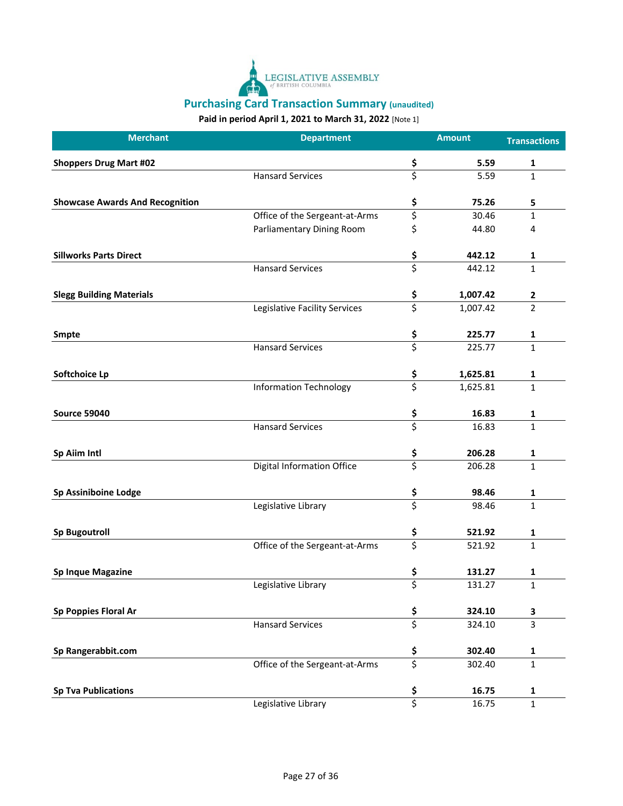

| <b>Merchant</b>                        | <b>Department</b>                 |                                 | <b>Amount</b> | <b>Transactions</b> |
|----------------------------------------|-----------------------------------|---------------------------------|---------------|---------------------|
| <b>Shoppers Drug Mart #02</b>          |                                   | \$                              | 5.59          | 1                   |
|                                        | <b>Hansard Services</b>           | \$                              | 5.59          | $\mathbf{1}$        |
| <b>Showcase Awards And Recognition</b> |                                   | \$                              | 75.26         | 5                   |
|                                        | Office of the Sergeant-at-Arms    | \$                              | 30.46         | $\mathbf{1}$        |
|                                        | Parliamentary Dining Room         | \$                              | 44.80         | 4                   |
| <b>Sillworks Parts Direct</b>          |                                   | \$                              | 442.12        | $\mathbf{1}$        |
|                                        | <b>Hansard Services</b>           | \$                              | 442.12        | $\mathbf{1}$        |
| <b>Slegg Building Materials</b>        |                                   | \$                              | 1,007.42      | $\mathbf{2}$        |
|                                        | Legislative Facility Services     | \$                              | 1,007.42      | $\overline{2}$      |
| <b>Smpte</b>                           |                                   | \$                              | 225.77        | 1                   |
|                                        | <b>Hansard Services</b>           | \$                              | 225.77        | $\mathbf{1}$        |
| Softchoice Lp                          |                                   | \$                              | 1,625.81      | 1                   |
|                                        | <b>Information Technology</b>     | \$                              | 1,625.81      | $\mathbf{1}$        |
| <b>Source 59040</b>                    |                                   | \$                              | 16.83         | $\mathbf 1$         |
|                                        | <b>Hansard Services</b>           | $\overline{\boldsymbol{\zeta}}$ | 16.83         | $\mathbf{1}$        |
| Sp Aiim Intl                           |                                   | \$                              | 206.28        | $\mathbf{1}$        |
|                                        | <b>Digital Information Office</b> | $\overline{\boldsymbol{\zeta}}$ | 206.28        | $\mathbf{1}$        |
| Sp Assiniboine Lodge                   |                                   | <u>\$</u>                       | 98.46         | 1                   |
|                                        | Legislative Library               | $\overline{\boldsymbol{\zeta}}$ | 98.46         | $\mathbf{1}$        |
| <b>Sp Bugoutroll</b>                   |                                   | \$                              | 521.92        | $\mathbf{1}$        |
|                                        | Office of the Sergeant-at-Arms    | \$                              | 521.92        | $\mathbf{1}$        |
| Sp Inque Magazine                      |                                   | \$                              | 131.27        | 1                   |
|                                        | Legislative Library               | \$                              | 131.27        | 1                   |
| Sp Poppies Floral Ar                   |                                   | \$                              | 324.10        | 3                   |
|                                        | <b>Hansard Services</b>           | \$                              | 324.10        | 3                   |
| Sp Rangerabbit.com                     |                                   | $rac{5}{5}$                     | 302.40        | $\mathbf{1}$        |
|                                        | Office of the Sergeant-at-Arms    |                                 | 302.40        | $\mathbf{1}$        |
| <b>Sp Tva Publications</b>             |                                   | \$                              | 16.75         | $\mathbf 1$         |
|                                        | Legislative Library               | \$                              | 16.75         | $\mathbf{1}$        |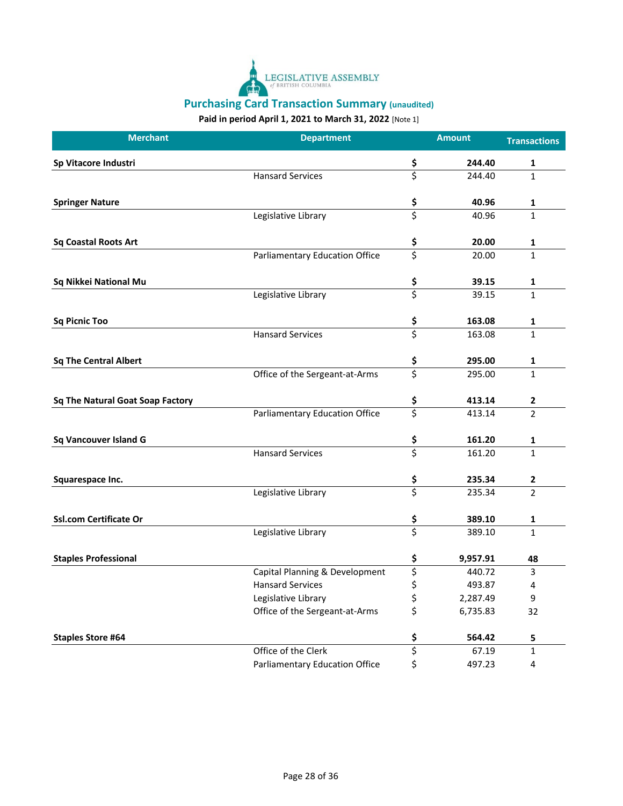

| <b>Merchant</b>                         | <b>Department</b>                     |                                 | <b>Amount</b> | <b>Transactions</b> |
|-----------------------------------------|---------------------------------------|---------------------------------|---------------|---------------------|
| Sp Vitacore Industri                    |                                       | \$                              | 244.40        | 1                   |
|                                         | <b>Hansard Services</b>               | \$                              | 244.40        | $\mathbf{1}$        |
| <b>Springer Nature</b>                  |                                       | \$                              | 40.96         | 1                   |
|                                         | Legislative Library                   | \$                              | 40.96         | $\mathbf{1}$        |
| <b>Sq Coastal Roots Art</b>             |                                       | \$                              | 20.00         | 1                   |
|                                         | <b>Parliamentary Education Office</b> | $\overline{\boldsymbol{\zeta}}$ | 20.00         | $\mathbf{1}$        |
| Sq Nikkei National Mu                   |                                       | $\boldsymbol{\xi}$              | 39.15         | 1                   |
|                                         | Legislative Library                   | $\overline{\boldsymbol{\zeta}}$ | 39.15         | $\mathbf{1}$        |
| <b>Sq Picnic Too</b>                    |                                       | \$                              | 163.08        | 1                   |
|                                         | <b>Hansard Services</b>               | $\overline{\xi}$                | 163.08        | $\mathbf{1}$        |
| <b>Sq The Central Albert</b>            |                                       | \$                              | 295.00        | 1                   |
|                                         | Office of the Sergeant-at-Arms        | \$                              | 295.00        | $\mathbf{1}$        |
| <b>Sq The Natural Goat Soap Factory</b> |                                       | \$                              | 413.14        | 2                   |
|                                         | Parliamentary Education Office        | \$                              | 413.14        | $\overline{2}$      |
| Sq Vancouver Island G                   |                                       | \$                              | 161.20        | 1                   |
|                                         | <b>Hansard Services</b>               | \$                              | 161.20        | $\mathbf{1}$        |
| Squarespace Inc.                        |                                       | \$                              | 235.34        | 2                   |
|                                         | Legislative Library                   | $\overline{\xi}$                | 235.34        | $\overline{2}$      |
| <b>Ssl.com Certificate Or</b>           |                                       | \$                              | 389.10        | 1                   |
|                                         | Legislative Library                   | $\overline{\xi}$                | 389.10        | $\mathbf{1}$        |
| <b>Staples Professional</b>             |                                       | \$                              | 9,957.91      | 48                  |
|                                         | Capital Planning & Development        | \$                              | 440.72        | 3                   |
|                                         | <b>Hansard Services</b>               | \$                              | 493.87        | 4                   |
|                                         | Legislative Library                   | \$                              | 2,287.49      | 9                   |
|                                         | Office of the Sergeant-at-Arms        | \$                              | 6,735.83      | 32                  |
| <b>Staples Store #64</b>                |                                       | \$                              | 564.42        | 5                   |
|                                         | Office of the Clerk                   | \$                              | 67.19         | $\mathbf 1$         |
|                                         | Parliamentary Education Office        | \$                              | 497.23        | 4                   |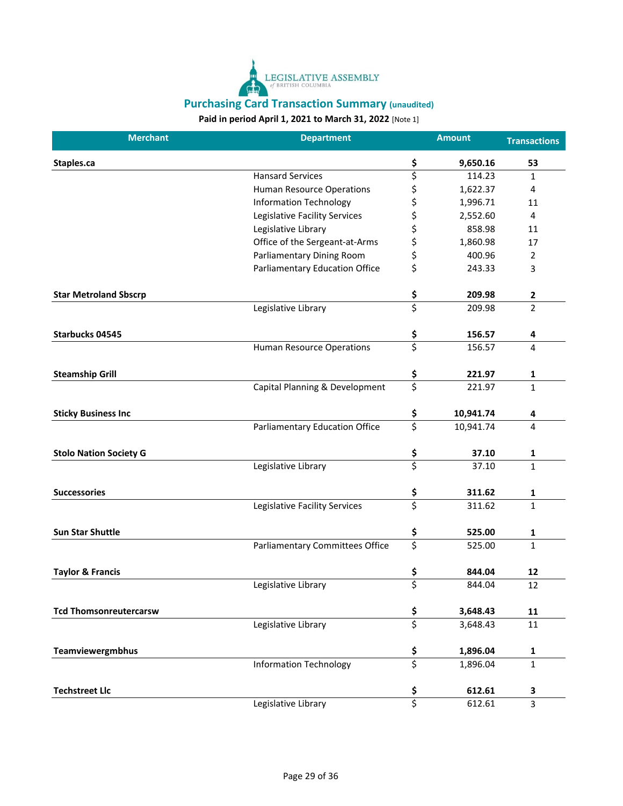

| <b>Merchant</b>               | <b>Department</b>                      |                         | <b>Amount</b> | <b>Transactions</b> |
|-------------------------------|----------------------------------------|-------------------------|---------------|---------------------|
| Staples.ca                    |                                        | \$                      | 9,650.16      | 53                  |
|                               | <b>Hansard Services</b>                | \$                      | 114.23        | $\mathbf{1}$        |
|                               | Human Resource Operations              | \$                      | 1,622.37      | 4                   |
|                               | <b>Information Technology</b>          | \$                      | 1,996.71      | 11                  |
|                               | Legislative Facility Services          | \$                      | 2,552.60      | 4                   |
|                               | Legislative Library                    | \$                      | 858.98        | 11                  |
|                               | Office of the Sergeant-at-Arms         | \$                      | 1,860.98      | 17                  |
|                               | Parliamentary Dining Room              | \$                      | 400.96        | 2                   |
|                               | Parliamentary Education Office         | \$                      | 243.33        | 3                   |
| <b>Star Metroland Sbscrp</b>  |                                        | \$                      | 209.98        | $\mathbf{2}$        |
|                               | Legislative Library                    | \$                      | 209.98        | $\overline{2}$      |
| Starbucks 04545               |                                        | \$                      | 156.57        | 4                   |
|                               | <b>Human Resource Operations</b>       | \$                      | 156.57        | 4                   |
| <b>Steamship Grill</b>        |                                        | \$                      | 221.97        | 1                   |
|                               | Capital Planning & Development         | \$                      | 221.97        | $\mathbf{1}$        |
| <b>Sticky Business Inc</b>    |                                        | \$                      | 10,941.74     | 4                   |
|                               | Parliamentary Education Office         | \$                      | 10,941.74     | 4                   |
| <b>Stolo Nation Society G</b> |                                        | \$                      | 37.10         | $\mathbf{1}$        |
|                               | Legislative Library                    | \$                      | 37.10         | $\mathbf{1}$        |
| <b>Successories</b>           |                                        | \$                      | 311.62        | 1                   |
|                               | Legislative Facility Services          | \$                      | 311.62        | $\mathbf{1}$        |
| <b>Sun Star Shuttle</b>       |                                        | \$                      | 525.00        | 1                   |
|                               | <b>Parliamentary Committees Office</b> | \$                      | 525.00        | $\mathbf{1}$        |
| <b>Taylor &amp; Francis</b>   |                                        | \$                      | 844.04        | 12                  |
|                               | Legislative Library                    | Ś                       | 844.04        | 12                  |
| <b>Tcd Thomsonreutercarsw</b> |                                        | \$                      | 3,648.43      | 11                  |
|                               | Legislative Library                    | \$                      | 3,648.43      | $11\,$              |
| Teamviewergmbhus              |                                        | $rac{5}{5}$             | 1,896.04      | $\mathbf{1}$        |
|                               | <b>Information Technology</b>          |                         | 1,896.04      | $\mathbf{1}$        |
| <b>Techstreet Llc</b>         |                                        | \$                      | 612.61        | 3                   |
|                               | Legislative Library                    | $\overline{\mathsf{s}}$ | 612.61        | 3                   |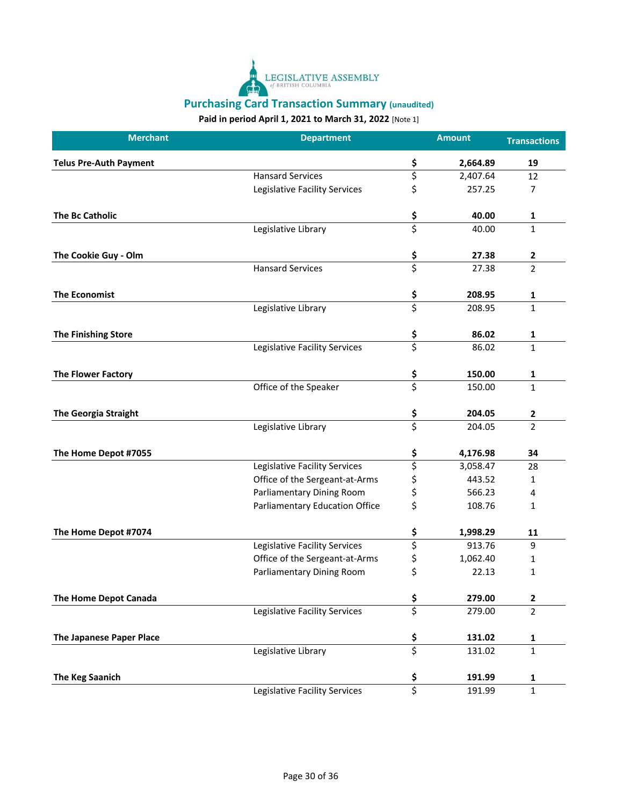

| <b>Merchant</b>               | <b>Department</b>              |                                 | <b>Amount</b> | <b>Transactions</b> |
|-------------------------------|--------------------------------|---------------------------------|---------------|---------------------|
| <b>Telus Pre-Auth Payment</b> |                                | \$                              | 2,664.89      | 19                  |
|                               | <b>Hansard Services</b>        | \$                              | 2,407.64      | 12                  |
|                               | Legislative Facility Services  | \$                              | 257.25        | 7                   |
| The Bc Catholic               |                                | \$                              | 40.00         | 1                   |
|                               | Legislative Library            | \$                              | 40.00         | 1                   |
| The Cookie Guy - Olm          |                                | \$                              | 27.38         | $\mathbf{2}$        |
|                               | <b>Hansard Services</b>        | \$                              | 27.38         | 2                   |
| <b>The Economist</b>          |                                | \$                              | 208.95        | 1                   |
|                               | Legislative Library            | \$                              | 208.95        | 1                   |
| <b>The Finishing Store</b>    |                                | \$                              | 86.02         | 1                   |
|                               | Legislative Facility Services  | \$                              | 86.02         | $\mathbf{1}$        |
| <b>The Flower Factory</b>     |                                | \$                              | 150.00        | 1                   |
|                               | Office of the Speaker          | \$                              | 150.00        | $\mathbf{1}$        |
| The Georgia Straight          |                                | $rac{5}{5}$                     | 204.05        | 2                   |
|                               | Legislative Library            |                                 | 204.05        | 2                   |
| The Home Depot #7055          |                                | \$                              | 4,176.98      | 34                  |
|                               | Legislative Facility Services  | \$                              | 3,058.47      | 28                  |
|                               | Office of the Sergeant-at-Arms | \$                              | 443.52        | 1                   |
|                               | Parliamentary Dining Room      | \$                              | 566.23        | 4                   |
|                               | Parliamentary Education Office | \$                              | 108.76        | 1                   |
| The Home Depot #7074          |                                | \$                              | 1,998.29      | 11                  |
|                               | Legislative Facility Services  | \$                              | 913.76        | 9                   |
|                               | Office of the Sergeant-at-Arms | \$                              | 1,062.40      | 1                   |
|                               | Parliamentary Dining Room      | \$                              | 22.13         | 1                   |
| The Home Depot Canada         |                                | \$                              | 279.00        | 2                   |
|                               | Legislative Facility Services  | \$                              | 279.00        | $\overline{2}$      |
| The Japanese Paper Place      |                                | $rac{5}{5}$                     | 131.02        | 1                   |
|                               | Legislative Library            |                                 | 131.02        | $\mathbf 1$         |
| The Keg Saanich               |                                | \$                              | 191.99        | 1                   |
|                               | Legislative Facility Services  | $\overline{\boldsymbol{\zeta}}$ | 191.99        | 1                   |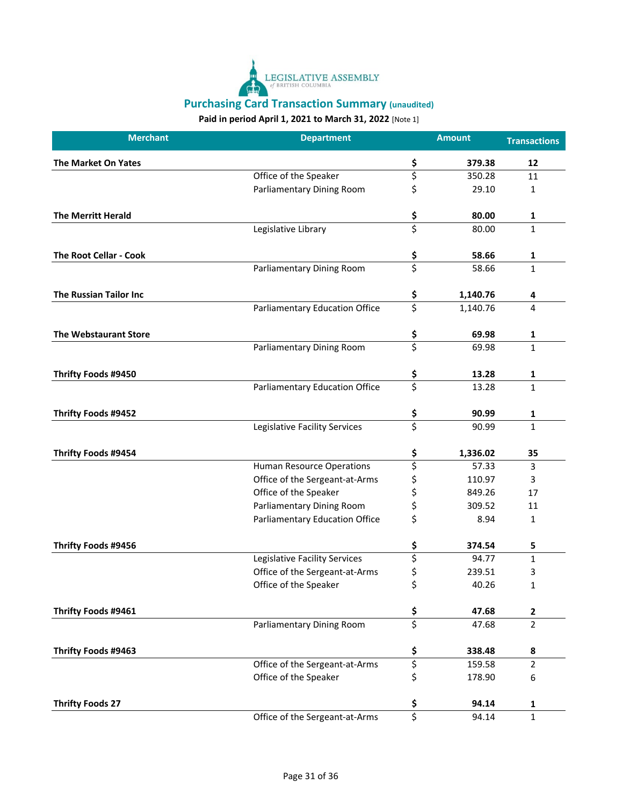

| <b>Merchant</b>               | <b>Department</b>                     |                                 | <b>Amount</b> | <b>Transactions</b> |
|-------------------------------|---------------------------------------|---------------------------------|---------------|---------------------|
| <b>The Market On Yates</b>    |                                       | \$                              | 379.38        | 12                  |
|                               | Office of the Speaker                 | \$                              | 350.28        | 11                  |
|                               | Parliamentary Dining Room             | \$                              | 29.10         | 1                   |
| <b>The Merritt Herald</b>     |                                       | \$                              | 80.00         | 1                   |
|                               | Legislative Library                   | \$                              | 80.00         | $\mathbf{1}$        |
| <b>The Root Cellar - Cook</b> |                                       | \$                              | 58.66         | 1                   |
|                               | Parliamentary Dining Room             | $\overline{\boldsymbol{\zeta}}$ | 58.66         | $\mathbf{1}$        |
| <b>The Russian Tailor Inc</b> |                                       | \$                              | 1,140.76      | 4                   |
|                               | <b>Parliamentary Education Office</b> | \$                              | 1,140.76      | 4                   |
| <b>The Webstaurant Store</b>  |                                       | \$                              | 69.98         | 1                   |
|                               | Parliamentary Dining Room             | \$                              | 69.98         | $\mathbf{1}$        |
| Thrifty Foods #9450           |                                       | \$                              | 13.28         | 1                   |
|                               | <b>Parliamentary Education Office</b> | \$                              | 13.28         | $\mathbf{1}$        |
| Thrifty Foods #9452           |                                       | \$                              | 90.99         | 1                   |
|                               | Legislative Facility Services         | $\overline{\boldsymbol{\zeta}}$ | 90.99         | $\mathbf{1}$        |
| Thrifty Foods #9454           |                                       | \$                              | 1,336.02      | 35                  |
|                               | Human Resource Operations             | \$                              | 57.33         | 3                   |
|                               | Office of the Sergeant-at-Arms        | \$                              | 110.97        | 3                   |
|                               | Office of the Speaker                 | \$                              | 849.26        | 17                  |
|                               | Parliamentary Dining Room             | \$                              | 309.52        | 11                  |
|                               | Parliamentary Education Office        | \$                              | 8.94          | 1                   |
| Thrifty Foods #9456           |                                       | \$                              | 374.54        | 5                   |
|                               | Legislative Facility Services         | \$                              | 94.77         | $\mathbf{1}$        |
|                               | Office of the Sergeant-at-Arms        | \$                              | 239.51        | 3                   |
|                               | Office of the Speaker                 | \$                              | 40.26         | 1                   |
| Thrifty Foods #9461           |                                       | \$                              | 47.68         | $\mathbf{2}$        |
|                               | Parliamentary Dining Room             | \$                              | 47.68         | $\overline{2}$      |
| Thrifty Foods #9463           |                                       | \$                              | 338.48        | 8                   |
|                               | Office of the Sergeant-at-Arms        | \$                              | 159.58        | $\overline{2}$      |
|                               | Office of the Speaker                 | \$                              | 178.90        | 6                   |
| <b>Thrifty Foods 27</b>       |                                       | \$                              | 94.14         | $\mathbf 1$         |
|                               | Office of the Sergeant-at-Arms        | \$                              | 94.14         | $\mathbf{1}$        |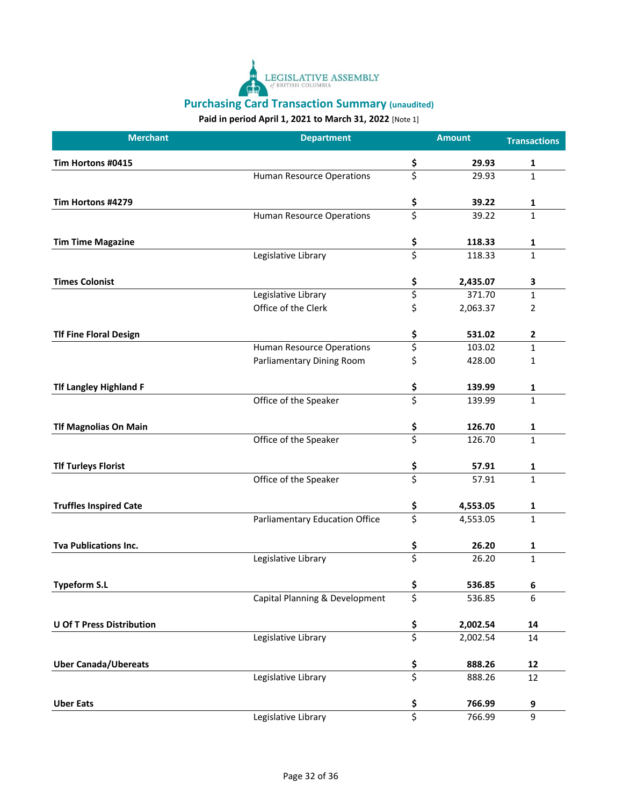

| <b>Merchant</b>                  | <b>Department</b>                     |                                 | <b>Amount</b> | <b>Transactions</b> |
|----------------------------------|---------------------------------------|---------------------------------|---------------|---------------------|
| Tim Hortons #0415                |                                       | \$                              | 29.93         | 1                   |
|                                  | <b>Human Resource Operations</b>      | \$                              | 29.93         | $\mathbf{1}$        |
| Tim Hortons #4279                |                                       | \$                              | 39.22         | 1                   |
|                                  | Human Resource Operations             | \$                              | 39.22         | $\mathbf{1}$        |
| <b>Tim Time Magazine</b>         |                                       | <u>\$</u>                       | 118.33        | 1                   |
|                                  | Legislative Library                   | $\overline{\boldsymbol{\zeta}}$ | 118.33        | $\mathbf{1}$        |
| <b>Times Colonist</b>            |                                       | \$                              | 2,435.07      | 3                   |
|                                  | Legislative Library                   | \$                              | 371.70        | $\mathbf{1}$        |
|                                  | Office of the Clerk                   | \$                              | 2,063.37      | $\overline{2}$      |
| <b>TIf Fine Floral Design</b>    |                                       | \$                              | 531.02        | $\overline{2}$      |
|                                  | <b>Human Resource Operations</b>      | \$                              | 103.02        | $\mathbf{1}$        |
|                                  | Parliamentary Dining Room             | \$                              | 428.00        | 1                   |
| <b>Tlf Langley Highland F</b>    |                                       | \$                              | 139.99        | 1                   |
|                                  | Office of the Speaker                 | \$                              | 139.99        | $\mathbf{1}$        |
| <b>Tlf Magnolias On Main</b>     |                                       | \$                              | 126.70        | 1                   |
|                                  | Office of the Speaker                 | \$                              | 126.70        | $\mathbf{1}$        |
| <b>Tlf Turleys Florist</b>       |                                       | \$                              | 57.91         | 1                   |
|                                  | Office of the Speaker                 | \$                              | 57.91         | $\mathbf{1}$        |
| <b>Truffles Inspired Cate</b>    |                                       | \$                              | 4,553.05      | 1                   |
|                                  | <b>Parliamentary Education Office</b> | \$                              | 4,553.05      | $\mathbf{1}$        |
| <b>Tva Publications Inc.</b>     |                                       | <u>\$</u>                       | 26.20         | 1                   |
|                                  | Legislative Library                   | $\overline{\boldsymbol{\zeta}}$ | 26.20         | 1                   |
| <b>Typeform S.L</b>              |                                       | Ś                               | 536.85        | 6                   |
|                                  | Capital Planning & Development        | \$                              | 536.85        | 6                   |
| <b>U Of T Press Distribution</b> |                                       | \$                              | 2,002.54      | ${\bf 14}$          |
|                                  | Legislative Library                   | \$                              | 2,002.54      | 14                  |
| <b>Uber Canada/Ubereats</b>      |                                       |                                 | 888.26        | 12                  |
|                                  | Legislative Library                   | $rac{5}{5}$                     | 888.26        | 12                  |
| <b>Uber Eats</b>                 |                                       | \$                              | 766.99        | 9                   |
|                                  | Legislative Library                   | $\overline{\mathsf{S}}$         | 766.99        | 9                   |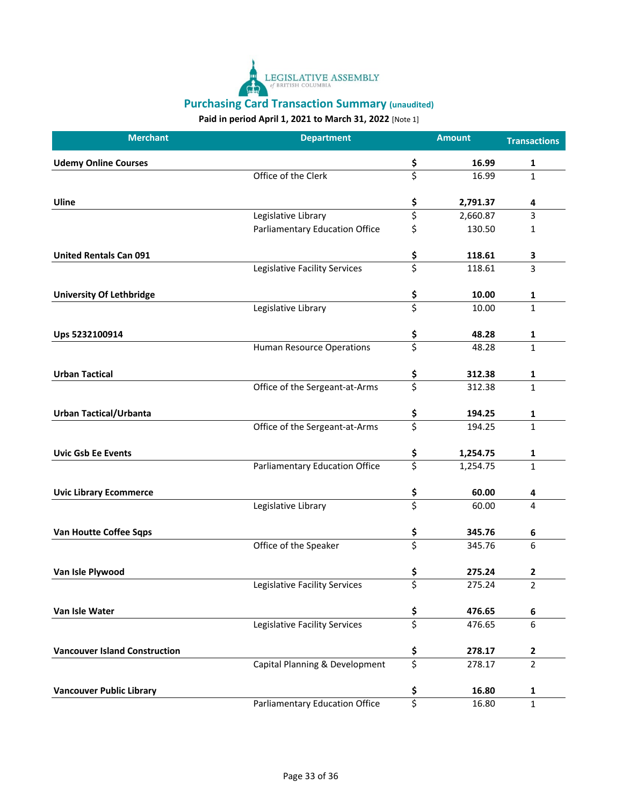

| <b>Merchant</b>                      | <b>Department</b>                     |                                 | <b>Amount</b> | <b>Transactions</b> |
|--------------------------------------|---------------------------------------|---------------------------------|---------------|---------------------|
| <b>Udemy Online Courses</b>          |                                       | \$                              | 16.99         | 1                   |
|                                      | Office of the Clerk                   | \$                              | 16.99         | $\mathbf{1}$        |
| <b>Uline</b>                         |                                       | \$                              | 2,791.37      | 4                   |
|                                      | Legislative Library                   | \$                              | 2,660.87      | 3                   |
|                                      |                                       |                                 |               |                     |
|                                      | Parliamentary Education Office        | \$                              | 130.50        | 1                   |
| <b>United Rentals Can 091</b>        |                                       | \$                              | 118.61        | 3                   |
|                                      | Legislative Facility Services         | \$                              | 118.61        | 3                   |
| <b>University Of Lethbridge</b>      |                                       |                                 | 10.00         | $\mathbf 1$         |
|                                      | Legislative Library                   | $rac{5}{5}$                     | 10.00         | $\mathbf{1}$        |
| Ups 5232100914                       |                                       | <u>\$</u>                       | 48.28         | 1                   |
|                                      | <b>Human Resource Operations</b>      | \$                              | 48.28         | $\mathbf{1}$        |
| <b>Urban Tactical</b>                |                                       | \$                              | 312.38        | 1                   |
|                                      | Office of the Sergeant-at-Arms        | \$                              | 312.38        | $\mathbf{1}$        |
| <b>Urban Tactical/Urbanta</b>        |                                       | \$                              | 194.25        | 1                   |
|                                      | Office of the Sergeant-at-Arms        | $\overline{\boldsymbol{\zeta}}$ | 194.25        | $\mathbf{1}$        |
|                                      |                                       |                                 |               |                     |
| <b>Uvic Gsb Ee Events</b>            |                                       | \$<br>\$                        | 1,254.75      | 1                   |
|                                      | Parliamentary Education Office        |                                 | 1,254.75      | $\mathbf{1}$        |
| <b>Uvic Library Ecommerce</b>        |                                       | \$                              | 60.00         | 4                   |
|                                      | Legislative Library                   | \$                              | 60.00         | 4                   |
| <b>Van Houtte Coffee Sqps</b>        |                                       | \$                              | 345.76        | 6                   |
|                                      | Office of the Speaker                 | \$                              | 345.76        | 6                   |
| Van Isle Plywood                     |                                       | \$                              | 275.24        | $\overline{2}$      |
|                                      | Legislative Facility Services         | Ś                               | 275.24        | 2                   |
| Van Isle Water                       |                                       | \$                              | 476.65        | 6                   |
|                                      | Legislative Facility Services         | \$                              | 476.65        | 6                   |
| <b>Vancouver Island Construction</b> |                                       |                                 | 278.17        |                     |
|                                      |                                       | \$<br>$\overline{\xi}$          |               | $\mathbf{2}$        |
|                                      | Capital Planning & Development        |                                 | 278.17        | $\overline{2}$      |
| <b>Vancouver Public Library</b>      |                                       | \$                              | 16.80         | $\mathbf 1$         |
|                                      | <b>Parliamentary Education Office</b> | $\overline{\xi}$                | 16.80         | $\mathbf 1$         |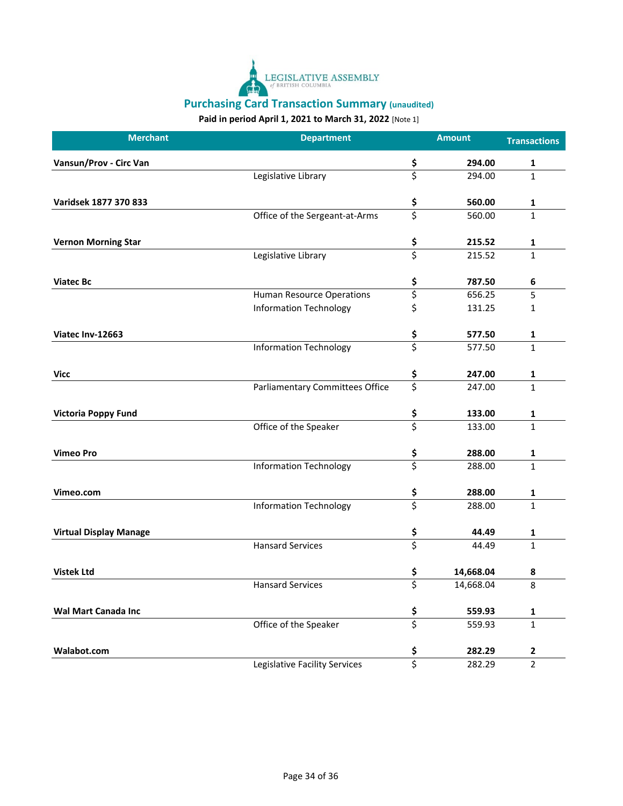

| <b>Merchant</b>               | <b>Department</b>                      |                                 | <b>Amount</b> | <b>Transactions</b> |
|-------------------------------|----------------------------------------|---------------------------------|---------------|---------------------|
| Vansun/Prov - Circ Van        |                                        | \$                              | 294.00        | 1                   |
|                               | Legislative Library                    | \$                              | 294.00        | $\mathbf{1}$        |
| Varidsek 1877 370 833         |                                        | \$                              | 560.00        | 1                   |
|                               | Office of the Sergeant-at-Arms         | \$                              | 560.00        | $\mathbf{1}$        |
|                               |                                        |                                 |               |                     |
| <b>Vernon Morning Star</b>    |                                        | $rac{5}{5}$                     | 215.52        | 1                   |
|                               | Legislative Library                    |                                 | 215.52        | $\mathbf{1}$        |
| <b>Viatec Bc</b>              |                                        |                                 | 787.50        | 6                   |
|                               | Human Resource Operations              | $rac{5}{5}$                     | 656.25        | 5                   |
|                               | <b>Information Technology</b>          | \$                              | 131.25        | 1                   |
| Viatec Inv-12663              |                                        | \$                              | 577.50        | 1                   |
|                               | <b>Information Technology</b>          | \$                              | 577.50        | $\mathbf{1}$        |
| <b>Vicc</b>                   |                                        | \$                              | 247.00        | 1                   |
|                               | <b>Parliamentary Committees Office</b> | $\overline{\boldsymbol{\zeta}}$ | 247.00        | $\mathbf{1}$        |
| <b>Victoria Poppy Fund</b>    |                                        | \$                              | 133.00        | $\mathbf{1}$        |
|                               | Office of the Speaker                  | $\overline{\boldsymbol{\zeta}}$ | 133.00        | $\mathbf{1}$        |
| <b>Vimeo Pro</b>              |                                        | \$                              | 288.00        | $\mathbf{1}$        |
|                               | <b>Information Technology</b>          | \$                              | 288.00        | $\mathbf{1}$        |
| Vimeo.com                     |                                        | <u>\$</u>                       | 288.00        | 1                   |
|                               | <b>Information Technology</b>          | \$                              | 288.00        | $\mathbf{1}$        |
| <b>Virtual Display Manage</b> |                                        | \$                              | 44.49         | 1                   |
|                               | <b>Hansard Services</b>                | $\overline{\boldsymbol{\zeta}}$ | 44.49         | $\mathbf{1}$        |
| <b>Vistek Ltd</b>             |                                        | \$                              | 14,668.04     | 8                   |
|                               | <b>Hansard Services</b>                | Ś                               | 14,668.04     | 8                   |
|                               |                                        |                                 |               |                     |
| <b>Wal Mart Canada Inc</b>    |                                        | \$                              | 559.93        | $\mathbf 1$         |
|                               | Office of the Speaker                  | $\overline{\boldsymbol{\zeta}}$ | 559.93        | $\mathbf 1$         |
| Walabot.com                   |                                        |                                 | 282.29        | $\mathbf{2}$        |
|                               | Legislative Facility Services          | $\frac{5}{5}$                   | 282.29        | $\overline{2}$      |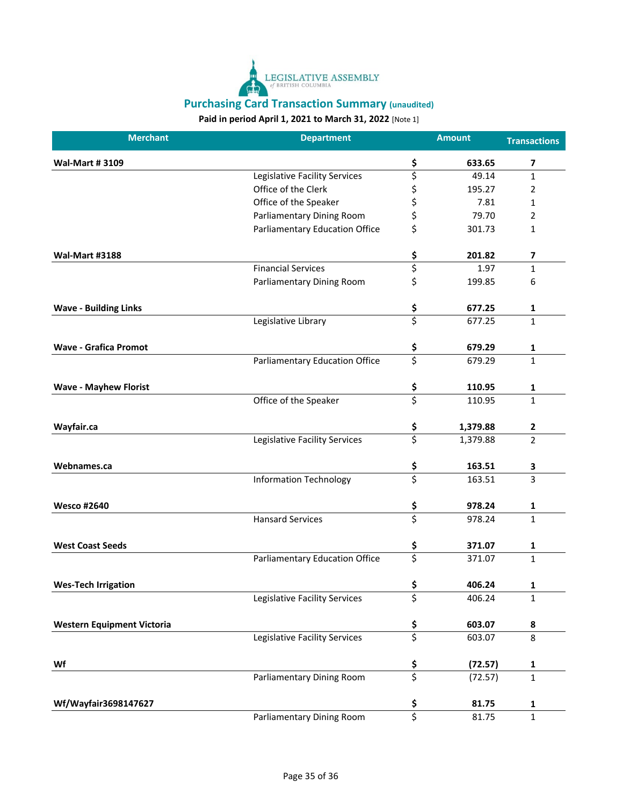

| <b>Merchant</b>                   | <b>Department</b>              |                                 | <b>Amount</b> | <b>Transactions</b> |
|-----------------------------------|--------------------------------|---------------------------------|---------------|---------------------|
| <b>Wal-Mart #3109</b>             |                                | \$                              | 633.65        | 7                   |
|                                   | Legislative Facility Services  | \$                              | 49.14         | $\mathbf{1}$        |
|                                   | Office of the Clerk            | \$                              | 195.27        | 2                   |
|                                   | Office of the Speaker          | \$                              | 7.81          | 1                   |
|                                   | Parliamentary Dining Room      | \$                              | 79.70         | 2                   |
|                                   | Parliamentary Education Office | \$                              | 301.73        | $\mathbf{1}$        |
| <b>Wal-Mart #3188</b>             |                                | \$                              | 201.82        | 7                   |
|                                   | <b>Financial Services</b>      | \$                              | 1.97          | $\mathbf{1}$        |
|                                   | Parliamentary Dining Room      | \$                              | 199.85        | 6                   |
| <b>Wave - Building Links</b>      |                                | \$                              | 677.25        | 1                   |
|                                   | Legislative Library            | \$                              | 677.25        | $\mathbf{1}$        |
| <b>Wave - Grafica Promot</b>      |                                | \$                              | 679.29        | 1                   |
|                                   | Parliamentary Education Office | \$                              | 679.29        | $\mathbf{1}$        |
| <b>Wave - Mayhew Florist</b>      |                                | \$                              | 110.95        | 1                   |
|                                   | Office of the Speaker          | $\overline{\boldsymbol{\zeta}}$ | 110.95        | $\mathbf{1}$        |
| Wayfair.ca                        |                                | \$                              | 1,379.88      | $\mathbf{2}$        |
|                                   | Legislative Facility Services  | \$                              | 1,379.88      | $\overline{2}$      |
| Webnames.ca                       |                                | \$                              | 163.51        | 3                   |
|                                   | <b>Information Technology</b>  | \$                              | 163.51        | $\mathbf{3}$        |
|                                   |                                |                                 |               |                     |
| <b>Wesco #2640</b>                |                                | \$                              | 978.24        | 1                   |
|                                   | <b>Hansard Services</b>        | \$                              | 978.24        | $\mathbf{1}$        |
| <b>West Coast Seeds</b>           |                                | \$                              | 371.07        | 1                   |
|                                   | Parliamentary Education Office | \$                              | 371.07        | $\mathbf{1}$        |
| <b>Wes-Tech Irrigation</b>        |                                | \$                              | 406.24        |                     |
|                                   | Legislative Facility Services  | \$                              | 406.24        | $\mathbf{1}$        |
| <b>Western Equipment Victoria</b> |                                | \$                              | 603.07        | 8                   |
|                                   | Legislative Facility Services  | \$                              | 603.07        | 8                   |
| Wf                                |                                |                                 | (72.57)       | $\mathbf 1$         |
|                                   | Parliamentary Dining Room      | $rac{5}{5}$                     | (72.57)       | $\mathbf{1}$        |
|                                   |                                |                                 |               |                     |
| Wf/Wayfair3698147627              |                                | \$                              | 81.75         | $\mathbf{1}$        |
|                                   | Parliamentary Dining Room      | \$                              | 81.75         | $\mathbf{1}$        |